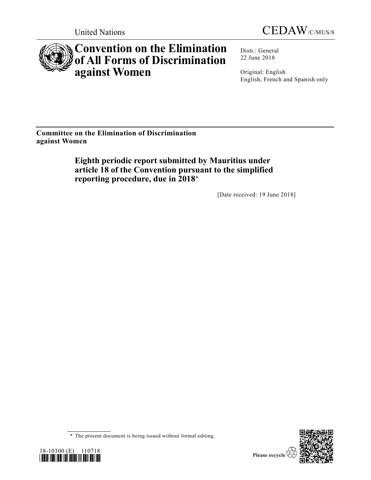



# **Convention on the Elimination of All Forms of Discrimination against Women**

Distr.: General 22 June 2018

Original: English English, French and Spanish only

**Committee on the Elimination of Discrimination against Women**

> **Eighth periodic report submitted by Mauritius under article 18 of the Convention pursuant to the simplified reporting procedure, due in 2018**\*

> > [Date received: 19 June 2018]

<sup>\*</sup> The present document is being issued without formal editing.

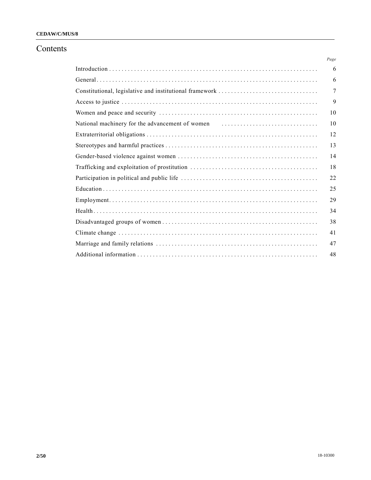### **CEDAW/C/MUS/8**

# Contents

|                                                                  | Page |
|------------------------------------------------------------------|------|
|                                                                  | 6    |
|                                                                  | 6    |
|                                                                  | 7    |
|                                                                  | 9    |
|                                                                  | 10   |
| National machinery for the advancement of women matures are non- | 10   |
|                                                                  | 12   |
|                                                                  | 13   |
|                                                                  | 14   |
|                                                                  | 18   |
|                                                                  | 22   |
|                                                                  | 25   |
|                                                                  | 29   |
|                                                                  | 34   |
|                                                                  | 38   |
|                                                                  | 41   |
|                                                                  | 47   |
|                                                                  | 48   |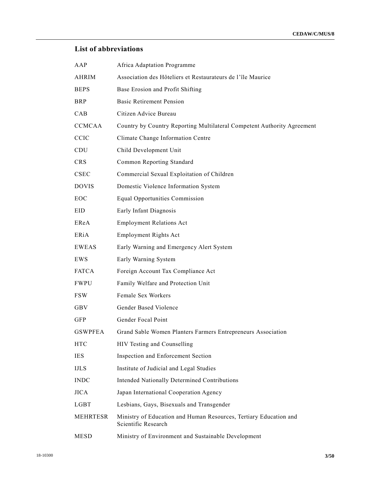# **List of abbreviations**

| AAP             | Africa Adaptation Programme                                                              |
|-----------------|------------------------------------------------------------------------------------------|
| <b>AHRIM</b>    | Association des Hôteliers et Restaurateurs de l'île Maurice                              |
| <b>BEPS</b>     | Base Erosion and Profit Shifting                                                         |
| <b>BRP</b>      | <b>Basic Retirement Pension</b>                                                          |
| CAB             | Citizen Advice Bureau                                                                    |
| <b>CCMCAA</b>   | Country by Country Reporting Multilateral Competent Authority Agreement                  |
| <b>CCIC</b>     | Climate Change Information Centre                                                        |
| <b>CDU</b>      | Child Development Unit                                                                   |
| <b>CRS</b>      | Common Reporting Standard                                                                |
| <b>CSEC</b>     | Commercial Sexual Exploitation of Children                                               |
| <b>DOVIS</b>    | Domestic Violence Information System                                                     |
| EOC             | <b>Equal Opportunities Commission</b>                                                    |
| EID             | Early Infant Diagnosis                                                                   |
| EReA            | <b>Employment Relations Act</b>                                                          |
| ERiA            | <b>Employment Rights Act</b>                                                             |
| <b>EWEAS</b>    | Early Warning and Emergency Alert System                                                 |
| EWS             | Early Warning System                                                                     |
| <b>FATCA</b>    | Foreign Account Tax Compliance Act                                                       |
| <b>FWPU</b>     | Family Welfare and Protection Unit                                                       |
| <b>FSW</b>      | Female Sex Workers                                                                       |
| <b>GBV</b>      | Gender Based Violence                                                                    |
| <b>GFP</b>      | Gender Focal Point                                                                       |
| <b>GSWPFEA</b>  | Grand Sable Women Planters Farmers Entrepreneurs Association                             |
| <b>HTC</b>      | HIV Testing and Counselling                                                              |
| <b>IES</b>      | Inspection and Enforcement Section                                                       |
| <b>IJLS</b>     | Institute of Judicial and Legal Studies                                                  |
| <b>INDC</b>     | Intended Nationally Determined Contributions                                             |
| <b>JICA</b>     | Japan International Cooperation Agency                                                   |
| <b>LGBT</b>     | Lesbians, Gays, Bisexuals and Transgender                                                |
| <b>MEHRTESR</b> | Ministry of Education and Human Resources, Tertiary Education and<br>Scientific Research |
| <b>MESD</b>     | Ministry of Environment and Sustainable Development                                      |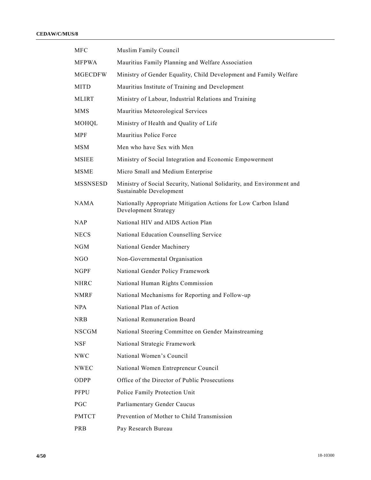#### **CEDAW/C/MUS/8**

| <b>MFC</b>      | Muslim Family Council                                                                            |
|-----------------|--------------------------------------------------------------------------------------------------|
| <b>MFPWA</b>    | Mauritius Family Planning and Welfare Association                                                |
| <b>MGECDFW</b>  | Ministry of Gender Equality, Child Development and Family Welfare                                |
| <b>MITD</b>     | Mauritius Institute of Training and Development                                                  |
| MLIRT           | Ministry of Labour, Industrial Relations and Training                                            |
| <b>MMS</b>      | Mauritius Meteorological Services                                                                |
| MOHQL           | Ministry of Health and Quality of Life                                                           |
| MPF             | Mauritius Police Force                                                                           |
| <b>MSM</b>      | Men who have Sex with Men                                                                        |
| <b>MSIEE</b>    | Ministry of Social Integration and Economic Empowerment                                          |
| <b>MSME</b>     | Micro Small and Medium Enterprise                                                                |
| <b>MSSNSESD</b> | Ministry of Social Security, National Solidarity, and Environment and<br>Sustainable Development |
| <b>NAMA</b>     | Nationally Appropriate Mitigation Actions for Low Carbon Island<br>Development Strategy          |
| NAP.            | National HIV and AIDS Action Plan                                                                |
| <b>NECS</b>     | National Education Counselling Service                                                           |
| <b>NGM</b>      | National Gender Machinery                                                                        |
| NGO             | Non-Governmental Organisation                                                                    |
| <b>NGPF</b>     | National Gender Policy Framework                                                                 |
| <b>NHRC</b>     | National Human Rights Commission                                                                 |
| <b>NMRF</b>     | National Mechanisms for Reporting and Follow-up                                                  |
| NPA.            | National Plan of Action                                                                          |
| <b>NRB</b>      | National Remuneration Board                                                                      |
| <b>NSCGM</b>    | National Steering Committee on Gender Mainstreaming                                              |
| NSF             | National Strategic Framework                                                                     |
| <b>NWC</b>      | National Women's Council                                                                         |
| <b>NWEC</b>     | National Women Entrepreneur Council                                                              |
| ODPP            | Office of the Director of Public Prosecutions                                                    |
| <b>PFPU</b>     | Police Family Protection Unit                                                                    |
| PGC             | Parliamentary Gender Caucus                                                                      |
| <b>PMTCT</b>    | Prevention of Mother to Child Transmission                                                       |
| PRB             | Pay Research Bureau                                                                              |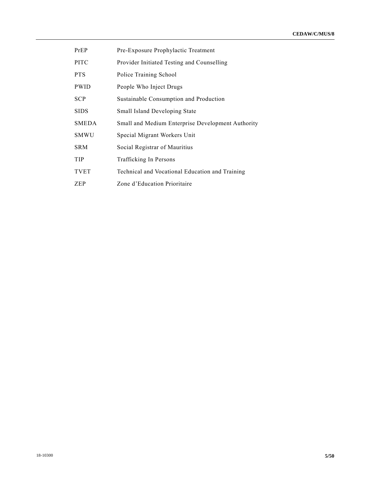- PrEP Pre-Exposure Prophylactic Treatment
- PITC Provider Initiated Testing and Counselling
- PTS Police Training School
- PWID People Who Inject Drugs
- SCP Sustainable Consumption and Production
- SIDS Small Island Developing State
- SMEDA Small and Medium Enterprise Development Authority
- SMWU Special Migrant Workers Unit
- SRM Social Registrar of Mauritius
- TIP Trafficking In Persons
- TVET Technical and Vocational Education and Training
- ZEP Zone d'Education Prioritaire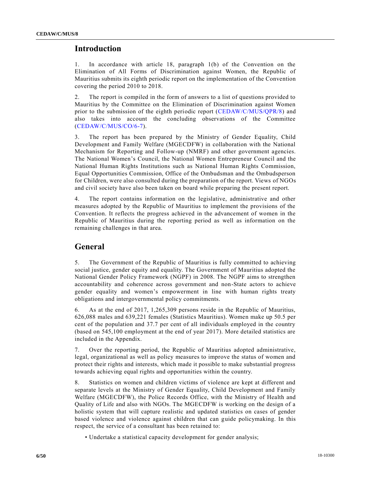# **Introduction**

1. In accordance with article 18, paragraph 1(b) of the Convention on the Elimination of All Forms of Discrimination against Women, the Republic of Mauritius submits its eighth periodic report on the implementation of the Convention covering the period 2010 to 2018.

2. The report is compiled in the form of answers to a list of questions provided to Mauritius by the Committee on the Elimination of Discrimination against Women prior to the submission of the eighth periodic report [\(CEDAW/C/MUS/QPR/8\)](https://undocs.org/CEDAW/C/MUS/QPR/8) and also takes into account the concluding observations of the Committee [\(CEDAW/C/MUS/CO/6-7\)](https://undocs.org/CEDAW/C/MUS/CO/6).

3. The report has been prepared by the Ministry of Gender Equality, Child Development and Family Welfare (MGECDFW) in collaboration with the National Mechanism for Reporting and Follow-up (NMRF) and other government agencies. The National Women's Council, the National Women Entrepreneur Council and the National Human Rights Institutions such as National Human Rights Commission, Equal Opportunities Commission, Office of the Ombudsman and the Ombudsperson for Children, were also consulted during the preparation of the report. Views of NGOs and civil society have also been taken on board while preparing the present report.

4. The report contains information on the legislative, administrative and other measures adopted by the Republic of Mauritius to implement the provisions of the Convention. It reflects the progress achieved in the advancement of women in the Republic of Mauritius during the reporting period as well as information on the remaining challenges in that area.

# **General**

5. The Government of the Republic of Mauritius is fully committed to achieving social justice, gender equity and equality. The Government of Mauritius adopted the National Gender Policy Framework (NGPF) in 2008. The NGPF aims to strengthen accountability and coherence across government and non-State actors to achieve gender equality and women's empowerment in line with human rights treaty obligations and intergovernmental policy commitments.

6. As at the end of 2017, 1,265,309 persons reside in the Republic of Mauritius, 626,088 males and 639,221 females (Statistics Mauritius). Women make up 50.5 per cent of the population and 37.7 per cent of all individuals employed in the country (based on 545,100 employment at the end of year 2017). More detailed statistics are included in the Appendix.

7. Over the reporting period, the Republic of Mauritius adopted administrative, legal, organizational as well as policy measures to improve the status of women and protect their rights and interests, which made it possible to make substantial progress towards achieving equal rights and opportunities within the country.

8. Statistics on women and children victims of violence are kept at different and separate levels at the Ministry of Gender Equality, Child Development and Family Welfare (MGECDFW), the Police Records Office, with the Ministry of Health and Quality of Life and also with NGOs. The MGECDFW is working on the design of a holistic system that will capture realistic and updated statistics on cases of gender based violence and violence against children that can guide policymaking. In this respect, the service of a consultant has been retained to:

• Undertake a statistical capacity development for gender analysis;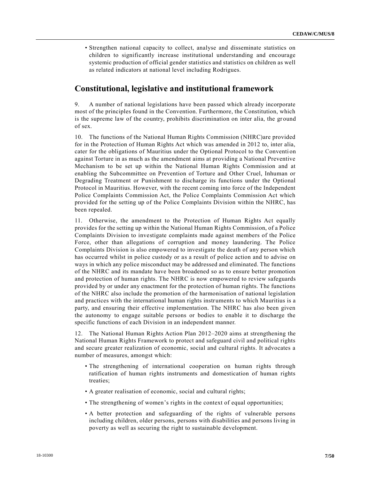• Strengthen national capacity to collect, analyse and disseminate statistics on children to significantly increase institutional understanding and encourage systemic production of official gender statistics and statistics on children as well as related indicators at national level including Rodrigues.

### **Constitutional, legislative and institutional framework**

9. A number of national legislations have been passed which already incorporate most of the principles found in the Convention. Furthermore, the Constitution, which is the supreme law of the country, prohibits discrimination on inter alia, the ground of sex.

10. The functions of the National Human Rights Commission (NHRC)are provided for in the Protection of Human Rights Act which was amended in 2012 to, inter alia, cater for the obligations of Mauritius under the Optional Protocol to the Conventi on against Torture in as much as the amendment aims at providing a National Preventive Mechanism to be set up within the National Human Rights Commission and at enabling the Subcommittee on Prevention of Torture and Other Cruel, Inhuman or Degrading Treatment or Punishment to discharge its functions under the Optional Protocol in Mauritius. However, with the recent coming into force of the Independent Police Complaints Commission Act, the Police Complaints Commission Act which provided for the setting up of the Police Complaints Division within the NHRC, has been repealed.

11. Otherwise, the amendment to the Protection of Human Rights Act equally provides for the setting up within the National Human Rights Commission, of a Police Complaints Division to investigate complaints made against members of the Police Force, other than allegations of corruption and money laundering. The Police Complaints Division is also empowered to investigate the death of any person which has occurred whilst in police custody or as a result of police action and to advise on ways in which any police misconduct may be addressed and eliminated. The functions of the NHRC and its mandate have been broadened so as to ensure better promotion and protection of human rights. The NHRC is now empowered to review safeguards provided by or under any enactment for the protection of human rights. The functions of the NHRC also include the promotion of the harmonisation of national legislation and practices with the international human rights instruments to which Mauritius is a party, and ensuring their effective implementation. The NHRC has also been given the autonomy to engage suitable persons or bodies to enable it to discharge the specific functions of each Division in an independent manner.

12. The National Human Rights Action Plan 2012–2020 aims at strengthening the National Human Rights Framework to protect and safeguard civil and political rights and secure greater realization of economic, social and cultural rights. It advocates a number of measures, amongst which:

- The strengthening of international cooperation on human rights through ratification of human rights instruments and domestication of human rights treaties;
- A greater realisation of economic, social and cultural rights;
- The strengthening of women's rights in the context of equal opportunities;
- A better protection and safeguarding of the rights of vulnerable persons including children, older persons, persons with disabilities and persons living in poverty as well as securing the right to sustainable development.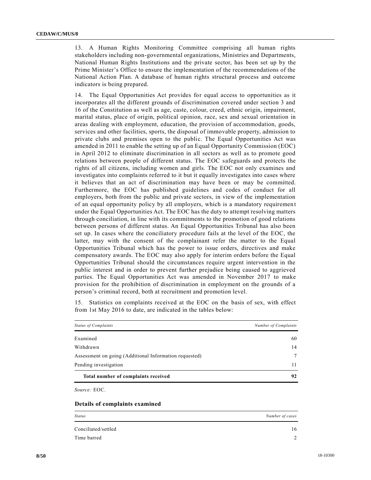13. A Human Rights Monitoring Committee comprising all human rights stakeholders including non-governmental organizations, Ministries and Departments, National Human Rights Institutions and the private sector, has been set up by the Prime Minister's Office to ensure the implementation of the recommendations of the National Action Plan. A database of human rights structural process and outcome indicators is being prepared.

14. The Equal Opportunities Act provides for equal access to opportunities as it incorporates all the different grounds of discrimination covered under section 3 and 16 of the Constitution as well as age, caste, colour, creed, ethnic origin, impairment, marital status, place of origin, political opinion, race, sex and sexual orientation in areas dealing with employment, education, the provision of accommodation, goods, services and other facilities, sports, the disposal of immovable property, admission to private clubs and premises open to the public. The Equal Opportunities Act was amended in 2011 to enable the setting up of an Equal Opportunity Commission (EOC) in April 2012 to eliminate discrimination in all sectors as well as to promote good relations between people of different status. The EOC safeguards and protects the rights of all citizens, including women and girls. The EOC not only examines and investigates into complaints referred to it but it equally investigates into cases where it believes that an act of discrimination may have been or may be committed. Furthermore, the EOC has published guidelines and codes of conduct for all employers, both from the public and private sectors, in view of the implementation of an equal opportunity policy by all employers, which is a mandatory requiremen t under the Equal Opportunities Act. The EOC has the duty to attempt resolving matters through conciliation, in line with its commitments to the promotion of good relations between persons of different status. An Equal Opportunities Tribunal has also been set up. In cases where the conciliatory procedure fails at the level of the EOC, the latter, may with the consent of the complainant refer the matter to the Equal Opportunities Tribunal which has the power to issue orders, directives and make compensatory awards. The EOC may also apply for interim orders before the Equal Opportunities Tribunal should the circumstances require urgent intervention in the public interest and in order to prevent further prejudice being caused to aggrieved parties. The Equal Opportunities Act was amended in November 2017 to make provision for the prohibition of discrimination in employment on the grounds of a person's criminal record, both at recruitment and promotion level.

15. Statistics on complaints received at the EOC on the basis of sex, with effect from 1st May 2016 to date, are indicated in the tables below:

| <b>Status of Complaints</b>                            | Number of Complaints |
|--------------------------------------------------------|----------------------|
| Examined                                               | 60                   |
| Withdrawn                                              | 14                   |
| Assessment on going (Additional Information requested) | 7                    |
| Pending investigation                                  |                      |
| Total number of complaints received                    | 92                   |

*Source:* EOC.

#### **Details of complaints examined**

| <b>Status</b>       | Number of cases |
|---------------------|-----------------|
| Conciliated/settled | 16              |
| Time barred         |                 |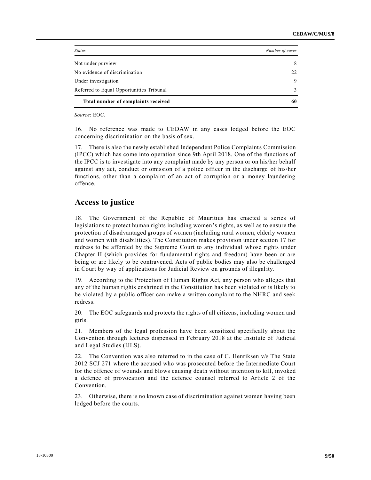| <b>Status</b>                            | Number of cases |
|------------------------------------------|-----------------|
| Not under purview                        | 8               |
| No evidence of discrimination            | 22              |
| Under investigation                      | 9               |
| Referred to Equal Opportunities Tribunal | 3               |
| Total number of complaints received      | 60              |

*Source*: EOC.

16. No reference was made to CEDAW in any cases lodged before the EOC concerning discrimination on the basis of sex.

17. There is also the newly established Independent Police Complaints Commission (IPCC) which has come into operation since 9th April 2018. One of the functions of the IPCC is to investigate into any complaint made by any person or on his/her behalf against any act, conduct or omission of a police officer in the discharge of his/her functions, other than a complaint of an act of corruption or a money laundering offence.

### **Access to justice**

18. The Government of the Republic of Mauritius has enacted a series of legislations to protect human rights including women's rights, as well as to ensure the protection of disadvantaged groups of women (including rural women, elderly women and women with disabilities). The Constitution makes provision under section 17 for redress to be afforded by the Supreme Court to any individual whose rights under Chapter II (which provides for fundamental rights and freedom) have been or are being or are likely to be contravened. Acts of public bodies may also be challenged in Court by way of applications for Judicial Review on grounds of illegality.

19. According to the Protection of Human Rights Act, any person who alleges that any of the human rights enshrined in the Constitution has been violated or is likely to be violated by a public officer can make a written complaint to the NHRC and seek redress.

20. The EOC safeguards and protects the rights of all citizens, including women and girls.

21. Members of the legal profession have been sensitized specifically about the Convention through lectures dispensed in February 2018 at the Institute of Judicial and Legal Studies (IJLS).

22. The Convention was also referred to in the case of C. Henriksen v/s The State 2012 SCJ 271 where the accused who was prosecuted before the Intermediate Court for the offence of wounds and blows causing death without intention to kill, invoked a defence of provocation and the defence counsel referred to Article 2 of the Convention.

23. Otherwise, there is no known case of discrimination against women having been lodged before the courts.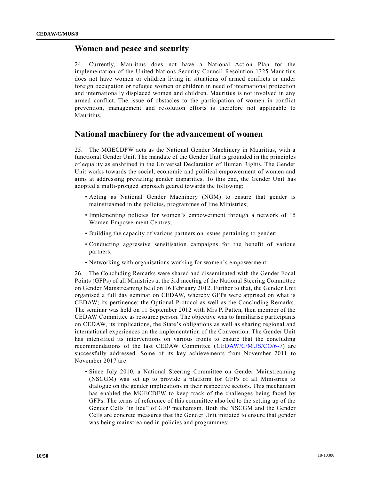# **Women and peace and security**

24. Currently, Mauritius does not have a National Action Plan for the implementation of the United Nations Security Council Resolution 1325.Mauritius does not have women or children living in situations of armed conflicts or under foreign occupation or refugee women or children in need of international protection and internationally displaced women and children. Mauritius is not involved in any armed conflict. The issue of obstacles to the participation of women in conflict prevention, management and resolution efforts is therefore not applicable to Mauritius.

# **National machinery for the advancement of women**

25. The MGECDFW acts as the National Gender Machinery in Mauritius, with a functional Gender Unit. The mandate of the Gender Unit is grounded in the principles of equality as enshrined in the Universal Declaration of Human Rights. The Gender Unit works towards the social, economic and political empowerment of women and aims at addressing prevailing gender disparities. To this end, the Gender Unit has adopted a multi-pronged approach geared towards the following:

- Acting as National Gender Machinery (NGM) to ensure that gender is mainstreamed in the policies, programmes of line Ministries;
- Implementing policies for women's empowerment through a network of 15 Women Empowerment Centres;
- Building the capacity of various partners on issues pertaining to gender;
- Conducting aggressive sensitisation campaigns for the benefit of various partners;
- Networking with organisations working for women's empowerment.

26. The Concluding Remarks were shared and disseminated with the Gender Focal Points (GFPs) of all Ministries at the 3rd meeting of the National Steering Committee on Gender Mainstreaming held on 16 February 2012. Further to that, the Gender Unit organised a full day seminar on CEDAW, whereby GFPs were apprised on what is CEDAW; its pertinence; the Optional Protocol as well as the Concluding Remarks. The seminar was held on 11 September 2012 with Mrs P. Patten, then member of the CEDAW Committee as resource person. The objective was to familiarise participants on CEDAW, its implications, the State's obligations as well as sharing regional and international experiences on the implementation of the Convention. The Gender Unit has intensified its interventions on various fronts to ensure that the concluding recommendations of the last CEDAW Committee [\(CEDAW/C/MUS/CO/6-7\)](https://undocs.org/CEDAW/C/MUS/CO/6) are successfully addressed. Some of its key achievements from November 2011 to November 2017 are:

• Since July 2010, a National Steering Committee on Gender Mainstreaming (NSCGM) was set up to provide a platform for GFPs of all Ministries to dialogue on the gender implications in their respective sectors. This mechanism has enabled the MGECDFW to keep track of the challenges being faced by GFPs. The terms of reference of this committee also led to the setting up of the Gender Cells "in lieu" of GFP mechanism. Both the NSCGM and the Gender Cells are concrete measures that the Gender Unit initiated to ensure that gender was being mainstreamed in policies and programmes;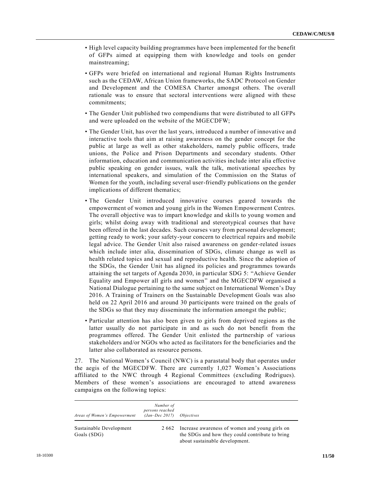- High level capacity building programmes have been implemented for the benefit of GFPs aimed at equipping them with knowledge and tools on gender mainstreaming;
- GFPs were briefed on international and regional Human Rights Instruments such as the CEDAW, African Union frameworks, the SADC Protocol on Gender and Development and the COMESA Charter amongst others. The overall rationale was to ensure that sectoral interventions were aligned with these commitments;
- The Gender Unit published two compendiums that were distributed to all GFPs and were uploaded on the website of the MGECDFW;
- The Gender Unit, has over the last years, introduced a number of innovative and interactive tools that aim at raising awareness on the gender concept for the public at large as well as other stakeholders, namely public officers, trade unions, the Police and Prison Departments and secondary students. Other information, education and communication activities include inter alia effective public speaking on gender issues, walk the talk, motivational speeches by international speakers, and simulation of the Commission on the Status of Women for the youth, including several user-friendly publications on the gender implications of different thematics;
- The Gender Unit introduced innovative courses geared towards the empowerment of women and young girls in the Women Empowerment Centres. The overall objective was to impart knowledge and skills to young women and girls; whilst doing away with traditional and stereotypical courses that have been offered in the last decades. Such courses vary from personal development; getting ready to work; your safety-your concern to electrical repairs and mobile legal advice. The Gender Unit also raised awareness on gender-related issues which include inter alia, dissemination of SDGs, climate change as well as health related topics and sexual and reproductive health. Since the adoption of the SDGs, the Gender Unit has aligned its policies and programmes towards attaining the set targets of Agenda 2030, in particular SDG 5: "Achieve Gender Equality and Empower all girls and women" and the MGECDFW organised a National Dialogue pertaining to the same subject on International Women's Day 2016. A Training of Trainers on the Sustainable Development Goals was also held on 22 April 2016 and around 30 participants were trained on the goals of the SDGs so that they may disseminate the information amongst the public;
- Particular attention has also been given to girls from deprived regions as the latter usually do not participate in and as such do not benefit from the programmes offered. The Gender Unit enlisted the partnership of various stakeholders and/or NGOs who acted as facilitators for the beneficiaries and the latter also collaborated as resource persons.

27. The National Women's Council (NWC) is a parastatal body that operates under the aegis of the MGECDFW. There are currently 1,027 Women's Associations affiliated to the NWC through 4 Regional Committees (excluding Rodrigues). Members of these women's associations are encouraged to attend awareness campaigns on the following topics:

| Areas of Women's Empowerment           | Number of<br>persons reached<br>$(Jan-Dec~2017)$ | <i>Objectives</i>                                                                                                                   |
|----------------------------------------|--------------------------------------------------|-------------------------------------------------------------------------------------------------------------------------------------|
| Sustainable Development<br>Goals (SDG) | 2 6 6 2                                          | Increase awareness of women and young girls on<br>the SDGs and how they could contribute to bring<br>about sustainable development. |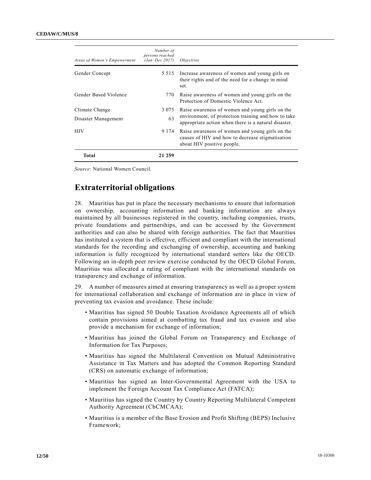| Areas of Women's Empowerment | Number of<br>persons reached<br>$(Jan-Dec~2017)$ | <i>Objectives</i>                                                                                                                 |
|------------------------------|--------------------------------------------------|-----------------------------------------------------------------------------------------------------------------------------------|
| Gender Concept               | 5 5 1 5                                          | Increase awareness of women and young girls on<br>their rights and of the need for a change in mind<br>set.                       |
| Gender Based Violence        | 770                                              | Raise awareness of women and young girls on the<br>Protection of Domestic Violence Act.                                           |
| Climate Change               | 3 0 7 5                                          | Raise awareness of women and young girls on the                                                                                   |
| Disaster Management          | 63                                               | environment, of protection training and how to take<br>appropriate action when there is a natural disaster.                       |
| <b>HIV</b>                   | 9 1 7 4                                          | Raise awareness of women and young girls on the<br>causes of HIV and how to decrease stigmatisation<br>about HIV positive people. |
| Total                        | 21 259                                           |                                                                                                                                   |

*Source*: National Women Council.

# **Extraterritorial obligations**

28. Mauritius has put in place the necessary mechanisms to ensure that information on ownership, accounting information and banking information are always maintained by all businesses registered in the country, including companies, trusts, private foundations and partnerships, and can be accessed by the Government authorities and can also be shared with foreign authorities. The fact that Mauritius has instituted a system that is effective, efficient and compliant with the international standards for the recording and exchanging of ownership, accounting and banking information is fully recognized by international standard setters like the OECD. Following an in-depth peer review exercise conducted by the OECD Global Forum, Mauritius was allocated a rating of compliant with the international standards on transparency and exchange of information.

29. A number of measures aimed at ensuring transparency as well as a proper system for international collaboration and exchange of information are in place in view of preventing tax evasion and avoidance. These include:

- Mauritius has signed 50 Double Taxation Avoidance Agreements all of which contain provisions aimed at combatting tax fraud and tax evasion and also provide a mechanism for exchange of information;
- Mauritius has joined the Global Forum on Transparency and Exchange of Information for Tax Purposes;
- Mauritius has signed the Multilateral Convention on Mutual Administrative Assistance in Tax Matters and has adopted the Common Reporting Standard (CRS) on automatic exchange of information;
- Mauritius has signed an Inter-Governmental Agreement with the USA to implement the Foreign Account Tax Compliance Act (FATCA);
- Mauritius has signed the Country by Country Reporting Multilateral Competent Authority Agreement (CbCMCAA);
- Mauritius is a member of the Base Erosion and Profit Shifting (BEPS) Inclusive Framework;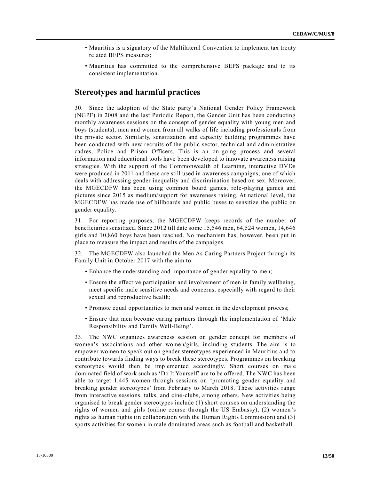- Mauritius is a signatory of the Multilateral Convention to implement tax tre aty related BEPS measures;
- Mauritius has committed to the comprehensive BEPS package and to its consistent implementation.

### **Stereotypes and harmful practices**

30. Since the adoption of the State party's National Gender Policy Framework (NGPF) in 2008 and the last Periodic Report, the Gender Unit has been conducting monthly awareness sessions on the concept of gender equality with young men and boys (students), men and women from all walks of life including professionals from the private sector. Similarly, sensitization and capacity building programmes have been conducted with new recruits of the public sector, technical and administrative cadres, Police and Prison Officers. This is an on-going process and several information and educational tools have been developed to innovate awareness raising strategies. With the support of the Commonwealth of Learning, interactive DVDs were produced in 2011 and these are still used in awareness campaigns; one of which deals with addressing gender inequality and discrimination based on sex. Moreover, the MGECDFW has been using common board games, role-playing games and pictures since 2015 as medium/support for awareness raising. At national level, the MGECDFW has made use of billboards and public buses to sensitize the public on gender equality.

31. For reporting purposes, the MGECDFW keeps records of the number of beneficiaries sensitized. Since 2012 till date some 15,546 men, 64,524 women, 14,646 girls and 10,860 boys have been reached. No mechanism has, however, be en put in place to measure the impact and results of the campaigns.

32. The MGECDFW also launched the Men As Caring Partners Project through its Family Unit in October 2017 with the aim to:

- Enhance the understanding and importance of gender equality to men;
- Ensure the effective participation and involvement of men in family wellbeing, meet specific male sensitive needs and concerns, especially with regard to their sexual and reproductive health;
- Promote equal opportunities to men and women in the development process;
- Ensure that men become caring partners through the implementation of 'Male Responsibility and Family Well-Being'.

33. The NWC organizes awareness session on gender concept for members of women's associations and other women/girls, including students. The aim is to empower women to speak out on gender stereotypes experienced in Mauritius and to contribute towards finding ways to break these stereotypes. Programmes on breaking stereotypes would then be implemented accordingly. Short courses on male dominated field of work such as 'Do It Yourself' are to be offered. The NWC has been able to target 1,445 women through sessions on 'promoting gender equality and breaking gender stereotypes' from February to March 2018. These activities range from interactive sessions, talks, and cine-clubs, among others. New activities being organised to break gender stereotypes include (1) short courses on understanding the rights of women and girls (online course through the US Embassy), (2) women's rights as human rights (in collaboration with the Human Rights Commission) and (3) sports activities for women in male dominated areas such as football and basketball.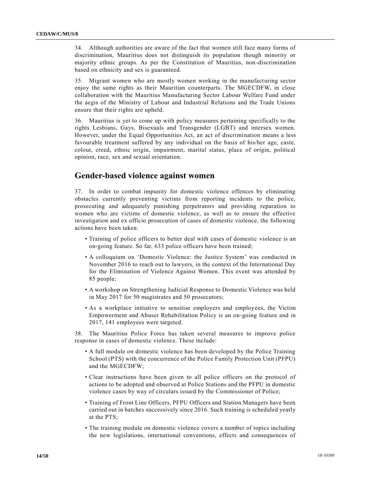34. Although authorities are aware of the fact that women still face many forms of discrimination, Mauritius does not distinguish its population though minority or majority ethnic groups. As per the Constitution of Mauritius, non-discrimination based on ethnicity and sex is guaranteed.

35. Migrant women who are mostly women working in the manufacturing sector enjoy the same rights as their Mauritian counterparts. The MGECDFW, in close collaboration with the Mauritius Manufacturing Sector Labour Welfare Fund under the aegis of the Ministry of Labour and Industrial Relations and the Trade Unions ensure that their rights are upheld.

36. Mauritius is yet to come up with policy measures pertaining specifically to the rights Lesbians, Gays, Bisexuals and Transgender (LGBT) and intersex women. However, under the Equal Opportunities Act, an act of discrimination means a less favourable treatment suffered by any individual on the basis of his/her age, caste, colour, creed, ethnic origin, impairment, marital status, place of origin, political opinion, race, sex and sexual orientation.

# **Gender-based violence against women**

37. In order to combat impunity for domestic violence offences by eliminating obstacles currently preventing victims from reporting incidents to the police, prosecuting and adequately punishing perpetrators and providing reparation to women who are victims of domestic violence, as well as to ensure the effective investigation and ex officio prosecution of cases of domestic violence, the following actions have been taken:

- Training of police officers to better deal with cases of domestic violence is an on-going feature. So far, 633 police officers have been trained;
- A colloquium on 'Domestic Violence: the Justice System' was conducted in November 2016 to reach out to lawyers, in the context of the International Day for the Elimination of Violence Against Women. This event was attended by 85 people;
- A workshop on Strengthening Judicial Response to Domestic Violence was held in May 2017 for 50 magistrates and 50 prosecutors;
- As a workplace initiative to sensitise employers and employees, the Victim Empowerment and Abuser Rehabilitation Policy is an on-going feature and in 2017, 141 employees were targeted.

38. The Mauritius Police Force has taken several measures to improve police response in cases of domestic violence. These include:

- A full module on domestic violence has been developed by the Police Training School (PTS) with the concurrence of the Police Family Protection Unit (PFPU) and the MGECDFW;
- Clear instructions have been given to all police officers on the protocol of actions to be adopted and observed at Police Stations and the PFPU in domestic violence cases by way of circulars issued by the Commissioner of Police;
- Training of Front Line Officers, PFPU Officers and Station Managers have been carried out in batches successively since 2016. Such training is scheduled yearly at the PTS;
- The training module on domestic violence covers a number of topics including the new legislations, international conventions, effects and consequences of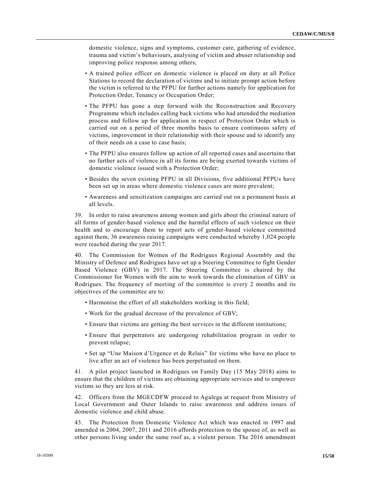domestic violence, signs and symptoms, customer care, gathering of evidence, trauma and victim's behaviours, analysing of victim and abuser relationship and improving police response among others;

- A trained police officer on domestic violence is placed on duty at all Police Stations to record the declaration of victims and to initiate prompt action before the victim is referred to the PFPU for further actions namely for application for Protection Order, Tenancy or Occupation Order;
- The PFPU has gone a step forward with the Reconstruction and Recovery Programme which includes calling back victims who had attended the mediation process and follow up for application in respect of Protection Order which is carried out on a period of three months basis to ensure continuous safety of victims, improvement in their relationship with their spouse and to identify any of their needs on a case to case basis;
- The PFPU also ensures follow up action of all reported cases and ascertains that no further acts of violence in all its forms are being exerted towards victims of domestic violence issued with a Protection Order;
- Besides the seven existing PFPU in all Divisions, five additional PFPUs have been set up in areas where domestic violence cases are more prevalent;
- Awareness and sensitization campaigns are carried out on a permanent basis at all levels.

39. In order to raise awareness among women and girls about the criminal nature of all forms of gender-based violence and the harmful effects of such violence on their health and to encourage them to report acts of gender-based violence committed against them, 36 awareness raising campaigns were conducted whereby 1,024 people were reached during the year 2017.

40. The Commission for Women of the Rodrigues Regional Assembly and the Ministry of Defence and Rodrigues have set up a Steering Committee to fight Gender Based Violence (GBV) in 2017. The Steering Committee is chaired by the Commissioner for Women with the aim to work towards the elimination of GBV in Rodrigues. The frequency of meeting of the committee is every 2 months and its objectives of the committee are to:

- Harmonise the effort of all stakeholders working in this field;
- Work for the gradual decrease of the prevalence of GBV;
- Ensure that victims are getting the best services in the different institutions;
- Ensure that perpetrators are undergoing rehabilitation program in order to prevent relapse;
- Set up "Une Maison d'Urgence et de Relais" for victims who have no place to live after an act of violence has been perpetuated on them.

41. A pilot project launched in Rodrigues on Family Day (15 May 2018) aims to ensure that the children of victims are obtaining appropriate services and to empower victims so they are less at risk.

42. Officers from the MGECDFW proceed to Agalega at request from Ministry of Local Government and Outer Islands to raise awareness and address issues of domestic violence and child abuse.

43. The Protection from Domestic Violence Act which was enacted in 1997 and amended in 2004, 2007, 2011 and 2016 affords protection to the spouse of, as well as other persons living under the same roof as, a violent person. The 2016 amendment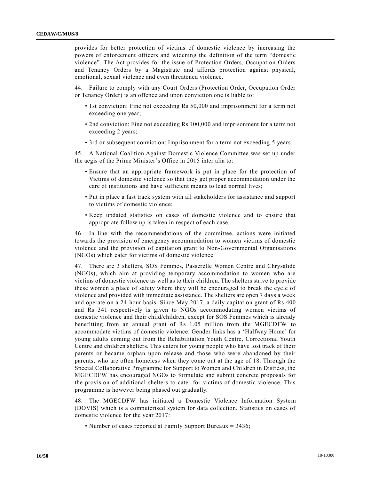provides for better protection of victims of domestic violence by increasing the powers of enforcement officers and widening the definition of the term "domestic violence". The Act provides for the issue of Protection Orders, Occupation Orders and Tenancy Orders by a Magistrate and affords protection against physical, emotional, sexual violence and even threatened violence.

44. Failure to comply with any Court Orders (Protection Order, Occupation Order or Tenancy Order) is an offence and upon conviction one is liable to:

- 1st conviction: Fine not exceeding Rs 50,000 and imprisonment for a term not exceeding one year;
- 2nd conviction: Fine not exceeding Rs 100,000 and imprisonment for a term not exceeding 2 years;
- 3rd or subsequent conviction: Imprisonment for a term not exceeding 5 years.

45. A National Coalition Against Domestic Violence Committee was set up under the aegis of the Prime Minister's Office in 2015 inter alia to:

- Ensure that an appropriate framework is put in place for the protection of Victims of domestic violence so that they get proper accommodation under the care of institutions and have sufficient means to lead normal lives;
- Put in place a fast track system with all stakeholders for assistance and support to victims of domestic violence;
- Keep updated statistics on cases of domestic violence and to ensure that appropriate follow up is taken in respect of each case.

46. In line with the recommendations of the committee, actions were initiated towards the provision of emergency accommodation to women victims of domestic violence and the provision of capitation grant to Non-Governmental Organisations (NGOs) which cater for victims of domestic violence.

47. There are 3 shelters, SOS Femmes, Passerelle Women Centre and Chrysalide (NGOs), which aim at providing temporary accommodation to women who are victims of domestic violence as well as to their children. The shelters strive to provide these women a place of safety where they will be encouraged to break the cycle of violence and provided with immediate assistance. The shelters are open 7 days a week and operate on a 24-hour basis. Since May 2017, a daily capitation grant of Rs 400 and Rs 341 respectively is given to NGOs accommodating women victims of domestic violence and their child/children, except for SOS Femmes which is already benefitting from an annual grant of Rs 1.05 million from the MGECDFW to accommodate victims of domestic violence. Gender links has a 'Halfway Home' for young adults coming out from the Rehabilitation Youth Centre, Correctional Youth Centre and children shelters. This caters for young people who have lost track of their parents or became orphan upon release and those who were abandoned by their parents, who are often homeless when they come out at the age of 18. Through the Special Collaborative Programme for Support to Women and Children in Distress, the MGECDFW has encouraged NGOs to formulate and submit concrete proposals for the provision of additional shelters to cater for victims of domestic violence. This programme is however being phased out gradually.

48. The MGECDFW has initiated a Domestic Violence Information System (DOVIS) which is a computerised system for data collection. Statistics on cases of domestic violence for the year 2017:

• Number of cases reported at Family Support Bureaux = 3436;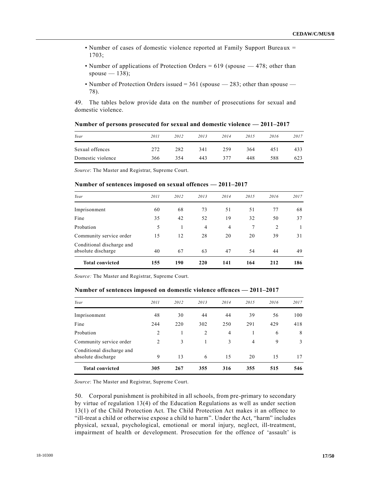- Number of cases of domestic violence reported at Family Support Bureaux = 1703;
- Number of applications of Protection Orders =  $619$  (spouse  $-478$ ; other than spouse  $-138$ ;
- Number of Protection Orders issued  $= 361$  (spouse  $283$ ; other than spouse  $-$ 78).

49. The tables below provide data on the number of prosecutions for sexual and domestic violence.

|  | Number of persons prosecuted for sexual and domestic violence $-2011-2017$ |  |
|--|----------------------------------------------------------------------------|--|
|--|----------------------------------------------------------------------------|--|

| Year              | 2011 | 2012 | 2013 | 2014 | 2015 | 2016 | 2017 |
|-------------------|------|------|------|------|------|------|------|
| Sexual offences   | 272  | 282  | 341  | 259  | 364  | 451  | 433  |
| Domestic violence | 366  | 354  | 443  | 377  | 448  | 588  | 623  |

*Source*: The Master and Registrar, Supreme Court.

#### **Number of sentences imposed on sexual offences — 2011–2017**

| <b>Total convicted</b>                          | 155  | 190  | 220            | 141            | 164  | 212  | 186  |
|-------------------------------------------------|------|------|----------------|----------------|------|------|------|
| Conditional discharge and<br>absolute discharge | 40   | 67   | 63             | 47             | 54   | 44   | 49   |
| Community service order                         | 15   | 12   | 28             | 20             | 20   | 39   | 31   |
| Probation                                       | 5    |      | $\overline{4}$ | $\overline{4}$ | 7    | 2    |      |
| Fine                                            | 35   | 42   | 52             | 19             | 32   | 50   | 37   |
| Imprisonment                                    | 60   | 68   | 73             | 51             | 51   | 77   | 68   |
| Year                                            | 2011 | 2012 | 2013           | 2014           | 2015 | 2016 | 2017 |

*Source:* The Master and Registrar, Supreme Court.

| Number of sentences imposed on domestic violence offences — 2011–2017 |  |  |  |  |  |
|-----------------------------------------------------------------------|--|--|--|--|--|
|-----------------------------------------------------------------------|--|--|--|--|--|

| <b>Total convicted</b>                          | 305            | 267  | 355  | 316            | 355            | 515  | 546  |
|-------------------------------------------------|----------------|------|------|----------------|----------------|------|------|
| Conditional discharge and<br>absolute discharge | 9              | 13   | 6    | 15             | 20             | 15   | 17   |
| Community service order                         | 2              | 3    |      | 3              | $\overline{4}$ | 9    | 3    |
| Probation                                       | $\overline{2}$ |      | 2    | $\overline{4}$ | 1              | 6    | 8    |
| Fine                                            | 244            | 220  | 302  | 250            | 291            | 429  | 418  |
| Imprisonment                                    | 48             | 30   | 44   | 44             | 39             | 56   | 100  |
| Year                                            | 2011           | 2012 | 2013 | 2014           | 2015           | 2016 | 2017 |
|                                                 |                |      |      |                |                |      |      |

*Source*: The Master and Registrar, Supreme Court.

50. Corporal punishment is prohibited in all schools, from pre-primary to secondary by virtue of regulation 13(4) of the Education Regulations as well as under section 13(1) of the Child Protection Act. The Child Protection Act makes it an offence to "ill-treat a child or otherwise expose a child to harm". Under the Act, "harm" includes physical, sexual, psychological, emotional or moral injury, neglect, ill-treatment, impairment of health or development. Prosecution for the offence of 'assault' is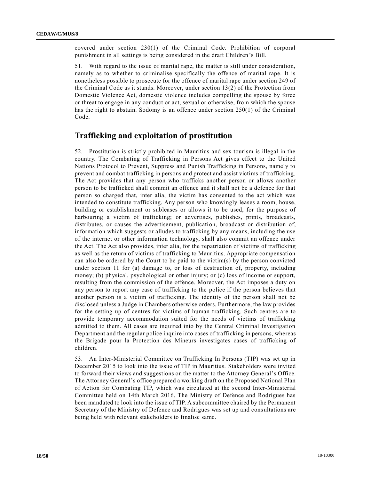covered under section 230(1) of the Criminal Code. Prohibition of corporal punishment in all settings is being considered in the draft Children's Bill.

51. With regard to the issue of marital rape, the matter is still under consideration, namely as to whether to criminalise specifically the offence of marital rape. It is nonetheless possible to prosecute for the offence of marital rape under section 249 of the Criminal Code as it stands. Moreover, under section 13(2) of the Protection from Domestic Violence Act, domestic violence includes compelling the spouse by force or threat to engage in any conduct or act, sexual or otherwise, from which the spouse has the right to abstain. Sodomy is an offence under section 250(1) of the Criminal Code.

# **Trafficking and exploitation of prostitution**

52. Prostitution is strictly prohibited in Mauritius and sex tourism is illegal in the country. The Combating of Trafficking in Persons Act gives effect to the United Nations Protocol to Prevent, Suppress and Punish Trafficking in Persons, namely to prevent and combat trafficking in persons and protect and assist victims of trafficking. The Act provides that any person who trafficks another person or allows another person to be trafficked shall commit an offence and it shall not be a defence for that person so charged that, inter alia, the victim has consented to the act which was intended to constitute trafficking. Any person who knowingly leases a room, house, building or establishment or subleases or allows it to be used, for the purpose of harbouring a victim of trafficking; or advertises, publishes, prints, broadcasts, distributes, or causes the advertisement, publication, broadcast or distribution of, information which suggests or alludes to trafficking by any means, including the use of the internet or other information technology, shall also commit an offence under the Act. The Act also provides, inter alia, for the repatriation of victims of trafficking as well as the return of victims of trafficking to Mauritius. Appropriate compensation can also be ordered by the Court to be paid to the victim(s) by the person convicted under section 11 for (a) damage to, or loss of destruction of, property, including money; (b) physical, psychological or other injury; or (c) loss of income or support, resulting from the commission of the offence. Moreover, the Act imposes a duty on any person to report any case of trafficking to the police if the person believes that another person is a victim of trafficking. The identity of the person shall not be disclosed unless a Judge in Chambers otherwise orders. Furthermore, the law provides for the setting up of centres for victims of human trafficking. Such centres are to provide temporary accommodation suited for the needs of victims of trafficking admitted to them. All cases are inquired into by the Central Criminal Investigation Department and the regular police inquire into cases of trafficking in persons, whereas the Brigade pour la Protection des Mineurs investigates cases of trafficking of children.

53. An Inter-Ministerial Committee on Trafficking In Persons (TIP) was set up in December 2015 to look into the issue of TIP in Mauritius. Stakeholders were invited to forward their views and suggestions on the matter to the Attorney General's Office. The Attorney General's office prepared a working draft on the Proposed National Plan of Action for Combating TIP, which was circulated at the second Inter-Ministerial Committee held on 14th March 2016. The Ministry of Defence and Rodrigues has been mandated to look into the issue of TIP. A subcommittee chaired by the Permanent Secretary of the Ministry of Defence and Rodrigues was set up and consultations are being held with relevant stakeholders to finalise same.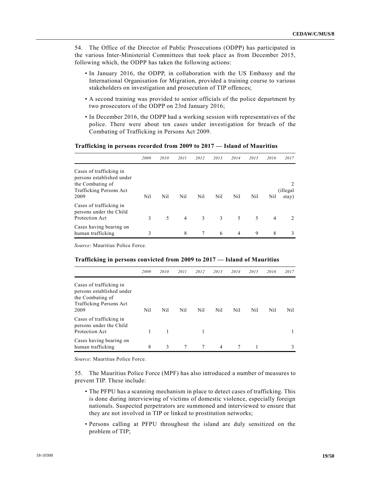54. The Office of the Director of Public Prosecutions (ODPP) has participated in the various Inter-Ministerial Committees that took place as from December 2015, following which, the ODPP has taken the following actions:

- In January 2016, the ODPP, in collaboration with the US Embassy and the International Organisation for Migration, provided a training course to various stakeholders on investigation and prosecution of TIP offences;
- A second training was provided to senior officials of the police department by two prosecutors of the ODPP on 23rd January 2016;
- In December 2016, the ODPP had a working session with representatives of the police. There were about ten cases under investigation for breach of the Combating of Trafficking in Persons Act 2009.

#### **Trafficking in persons recorded from 2009 to 2017 — Island of Mauritius**

|                                                                                                             | 2009 | 2010 | 2011           | 2012 | 2013 | 2014 | 2015 | 2016           | 2017                   |
|-------------------------------------------------------------------------------------------------------------|------|------|----------------|------|------|------|------|----------------|------------------------|
| Cases of trafficking in<br>persons established under<br>the Combating of<br>Trafficking Persons Act<br>2009 | Nil  | Nil  | Nil            | Nil  | Nil  | Nil  | Nil  | Nil            | 2<br>(illegal<br>stay) |
| Cases of trafficking in<br>persons under the Child<br>Protection Act                                        | 3    | 5    | $\overline{4}$ | 3    | 3    | 5    | 5    | $\overline{4}$ |                        |
| Cases having bearing on<br>human trafficking                                                                | 3    |      | 8              | 7    | 6    | 4    | 9    | 8              | 3                      |

*Source*: Mauritius Police Force.

#### **Trafficking in persons convicted from 2009 to 2017 — Island of Mauritius**

|                                                                                                                    | 2009 | 2010 | 2011 | 2012 | 2013           | 2014 | 2015 | 2016 | 2017 |
|--------------------------------------------------------------------------------------------------------------------|------|------|------|------|----------------|------|------|------|------|
| Cases of trafficking in<br>persons established under<br>the Combating of<br><b>Trafficking Persons Act</b><br>2009 | Nil  | Nil  | Nil  | Nil  | Nil            | Nil. | Nil  | Nil  | Nil. |
| Cases of trafficking in<br>persons under the Child<br>Protection Act                                               |      |      |      |      |                |      |      |      |      |
| Cases having bearing on<br>human trafficking                                                                       | 8    | 3    | 7    | 7    | $\overline{4}$ | 7    |      |      | 3    |

*Source*: Mauritius Police Force.

55. The Mauritius Police Force (MPF) has also introduced a number of measures to prevent TIP. These include:

- The PFPU has a scanning mechanism in place to detect cases of trafficking. This is done during interviewing of victims of domestic violence, especially foreign nationals. Suspected perpetrators are summoned and interviewed to ensure that they are not involved in TIP or linked to prostitution networks;
- Persons calling at PFPU throughout the island are duly sensitized on the problem of TIP;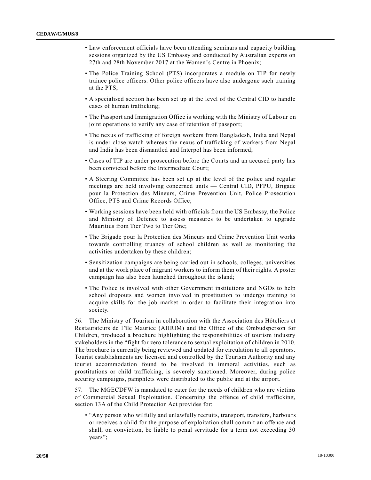- Law enforcement officials have been attending seminars and capacity building sessions organized by the US Embassy and conducted by Australian experts on 27th and 28th November 2017 at the Women's Centre in Phoenix;
- The Police Training School (PTS) incorporates a module on TIP for newly trainee police officers. Other police officers have also undergone such training at the PTS;
- A specialised section has been set up at the level of the Central CID to handle cases of human trafficking;
- The Passport and Immigration Office is working with the Ministry of Labour on joint operations to verify any case of retention of passport;
- The nexus of trafficking of foreign workers from Bangladesh, India and Nepal is under close watch whereas the nexus of trafficking of workers from Nepal and India has been dismantled and Interpol has been informed;
- Cases of TIP are under prosecution before the Courts and an accused party has been convicted before the Intermediate Court;
- A Steering Committee has been set up at the level of the police and regular meetings are held involving concerned units — Central CID, PFPU, Brigade pour la Protection des Mineurs, Crime Prevention Unit, Police Prosecution Office, PTS and Crime Records Office;
- Working sessions have been held with officials from the US Embassy, the Police and Ministry of Defence to assess measures to be undertaken to upgrade Mauritius from Tier Two to Tier One;
- The Brigade pour la Protection des Mineurs and Crime Prevention Unit works towards controlling truancy of school children as well as monitoring the activities undertaken by these children;
- Sensitization campaigns are being carried out in schools, colleges, universities and at the work place of migrant workers to inform them of their rights. A poster campaign has also been launched throughout the island;
- The Police is involved with other Government institutions and NGOs to help school dropouts and women involved in prostitution to undergo training to acquire skills for the job market in order to facilitate their integration into society.

56. The Ministry of Tourism in collaboration with the Association des Hôteliers et Restaurateurs de l'île Maurice (AHRIM) and the Office of the Ombudsperson for Children, produced a brochure highlighting the responsibilities of tourism industry stakeholders in the "fight for zero tolerance to sexual exploitation of children in 2010. The brochure is currently being reviewed and updated for circulation to all operators. Tourist establishments are licensed and controlled by the Tourism Authority and any tourist accommodation found to be involved in immoral activities, such as prostitutions or child trafficking, is severely sanctioned. Moreover, during police security campaigns, pamphlets were distributed to the public and at the airport.

57. The MGECDFW is mandated to cater for the needs of children who are victims of Commercial Sexual Exploitation. Concerning the offence of child trafficking, section 13A of the Child Protection Act provides for:

• "Any person who wilfully and unlawfully recruits, transport, transfers, harbours or receives a child for the purpose of exploitation shall commit an offence and shall, on conviction, be liable to penal servitude for a term not exceeding 30 years";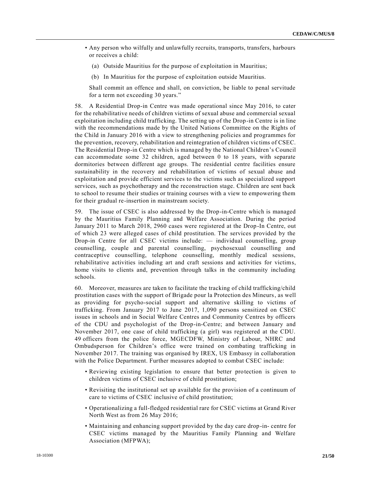- Any person who wilfully and unlawfully recruits, transports, transfers, harbours or receives a child:
	- (a) Outside Mauritius for the purpose of exploitation in Mauritius;
	- (b) In Mauritius for the purpose of exploitation outside Mauritius.

Shall commit an offence and shall, on conviction, be liable to penal servitude for a term not exceeding 30 years."

58. A Residential Drop-in Centre was made operational since May 2016, to cater for the rehabilitative needs of children victims of sexual abuse and commercial sexual exploitation including child trafficking. The setting up of the Drop-in Centre is in line with the recommendations made by the United Nations Committee on the Rights of the Child in January 2016 with a view to strengthening policies and programmes for the prevention, recovery, rehabilitation and reintegration of children vic tims of CSEC. The Residential Drop-in Centre which is managed by the National Children's Council can accommodate some 32 children, aged between 0 to 18 years, with separate dormitories between different age groups. The residential centre facilities ensure sustainability in the recovery and rehabilitation of victims of sexual abuse and exploitation and provide efficient services to the victims such as specialized support services, such as psychotherapy and the reconstruction stage. Children are sent back to school to resume their studies or training courses with a view to empowering them for their gradual re-insertion in mainstream society.

59. The issue of CSEC is also addressed by the Drop-in-Centre which is managed by the Mauritius Family Planning and Welfare Association. During the period January 2011 to March 2018, 2960 cases were registered at the Drop-In Centre, out of which 23 were alleged cases of child prostitution. The services provided by the Drop-in Centre for all CSEC victims include: — individual counselling, group counselling, couple and parental counselling, psychosexual counselling and contraceptive counselling, telephone counselling, monthly medical sessions, rehabilitative activities including art and craft sessions and activities for victims, home visits to clients and, prevention through talks in the community including schools.

60. Moreover, measures are taken to facilitate the tracking of child trafficking/child prostitution cases with the support of Brigade pour la Protection des Mineurs, as well as providing for psycho-social support and alternative skilling to victims of trafficking. From January 2017 to June 2017, 1,090 persons sensitized on CSEC issues in schools and in Social Welfare Centres and Community Centres by officers of the CDU and psychologist of the Drop-in-Centre; and between January and November 2017, one case of child trafficking (a girl) was registered at the CDU. 49 officers from the police force, MGECDFW, Ministry of Labour, NHRC and Ombudsperson for Children's office were trained on combating trafficking in November 2017. The training was organised by IREX, US Embassy in collaboration with the Police Department. Further measures adopted to combat CSEC include:

- Reviewing existing legislation to ensure that better protection is given to children victims of CSEC inclusive of child prostitution;
- Revisiting the institutional set up available for the provision of a continuum of care to victims of CSEC inclusive of child prostitution;
- Operationalizing a full-fledged residential rare for CSEC victims at Grand River North West as from 26 May 2016;
- Maintaining and enhancing support provided by the day care drop-in- centre for CSEC victims managed by the Mauritius Family Planning and Welfare Association (MFPWA);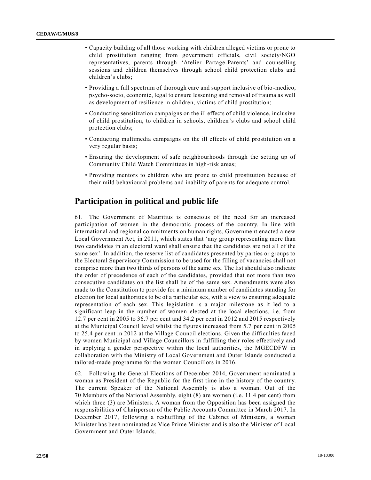- Capacity building of all those working with children alleged victims or prone to child prostitution ranging from government officials, civil society/NGO representatives, parents through 'Atelier Partage-Parents' and counselling sessions and children themselves through school child protection clubs and children's clubs;
- Providing a full spectrum of thorough care and support inclusive of bio-medico, psycho-socio, economic, legal to ensure lessening and removal of trauma as well as development of resilience in children, victims of child prostitution;
- Conducting sensitization campaigns on the ill effects of child violence, inclusive of child prostitution, to children in schools, children's clubs and school child protection clubs;
- Conducting multimedia campaigns on the ill effects of child prostitution on a very regular basis;
- Ensuring the development of safe neighbourhoods through the setting up of Community Child Watch Committees in high-risk areas;
- Providing mentors to children who are prone to child prostitution because of their mild behavioural problems and inability of parents for adequate control.

# **Participation in political and public life**

61. The Government of Mauritius is conscious of the need for an increased participation of women in the democratic process of the country. In line with international and regional commitments on human rights, Government enacted a new Local Government Act, in 2011, which states that 'any group representing more than two candidates in an electoral ward shall ensure that the candidates are not all of the same sex'. In addition, the reserve list of candidates presented by parties or groups to the Electoral Supervisory Commission to be used for the filling of vacancies shall not comprise more than two thirds of persons of the same sex. The list should also indicate the order of precedence of each of the candidates, provided that not more than two consecutive candidates on the list shall be of the same sex. Amendments were also made to the Constitution to provide for a minimum number of candidates standing for election for local authorities to be of a particular sex, with a view to ensuring adequate representation of each sex. This legislation is a major milestone as it led to a significant leap in the number of women elected at the local elections, i.e. from 12.7 per cent in 2005 to 36.7 per cent and 34.2 per cent in 2012 and 2015 respectively at the Municipal Council level whilst the figures increased from 5.7 per cent in 2005 to 25.4 per cent in 2012 at the Village Council elections. Given the difficulties faced by women Municipal and Village Councillors in fulfilling their roles effectively and in applying a gender perspective within the local authorities, the MGECDFW in collaboration with the Ministry of Local Government and Outer Islands conducted a tailored-made programme for the women Councillors in 2016.

62. Following the General Elections of December 2014, Government nominated a woman as President of the Republic for the first time in the history of the country. The current Speaker of the National Assembly is also a woman. Out of the 70 Members of the National Assembly, eight (8) are women (i.e. 11.4 per cent) from which three (3) are Ministers. A woman from the Opposition has been assigned the responsibilities of Chairperson of the Public Accounts Committee in March 2017. In December 2017, following a reshuffling of the Cabinet of Ministers, a woman Minister has been nominated as Vice Prime Minister and is also the Minister of Local Government and Outer Islands.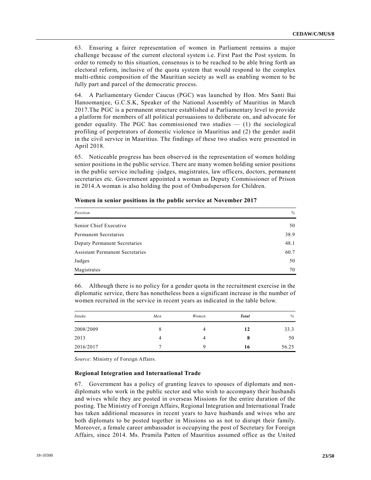63. Ensuring a fairer representation of women in Parliament remains a major challenge because of the current electoral system i.e. First Past the Post system. In order to remedy to this situation, consensus is to be reached to be able bring forth an electoral reform, inclusive of the quota system that would respond to the complex multi-ethnic composition of the Mauritian society as well as enabling women to be fully part and parcel of the democratic process.

64. A Parliamentary Gender Caucus (PGC) was launched by Hon. Mrs Santi Bai Hanoomanjee, G.C.S.K, Speaker of the National Assembly of Mauritius in March 2017.The PGC is a permanent structure established at Parliamentary level to provide a platform for members of all political persuasions to deliberate on, and advocate for gender equality. The PGC has commissioned two studies  $-$  (1) the sociological profiling of perpetrators of domestic violence in Mauritius and (2) the gender audit in the civil service in Mauritius. The findings of these two studies were presented in April 2018.

65. Noticeable progress has been observed in the representation of women holding senior positions in the public service. There are many women holding senior positions in the public service including -judges, magistrates, law officers, doctors, permanent secretaries etc. Government appointed a woman as Deputy Commissioner of Prison in 2014.A woman is also holding the post of Ombudsperson for Children.

| Position                               | %    |
|----------------------------------------|------|
| Senior Chief Executive                 | 50   |
| Permanent Secretaries                  | 38.9 |
| Deputy Permanent Secretaries           | 48.1 |
| <b>Assistant Permanent Secretaries</b> | 60.7 |
| Judges                                 | 50   |
| Magistrates                            | 70   |

66. Although there is no policy for a gender quota in the recruitment exercise in the diplomatic service, there has nonetheless been a significant increase in the number of women recruited in the service in recent years as indicated in the table below.

| Intake    | Men | Women | <b>Total</b> | %     |
|-----------|-----|-------|--------------|-------|
| 2008/2009 | Ō   | 4     | 12           | 33.3  |
| 2013      |     | 4     | $\mathbf o$  | 50    |
| 2016/2017 |     | Q     | 16           | 56.25 |

*Source*: Ministry of Foreign Affairs.

#### **Regional Integration and International Trade**

67. Government has a policy of granting leaves to spouses of diplomats and nondiplomats who work in the public sector and who wish to accompany their husbands and wives while they are posted in overseas Missions for the entire duration of the posting. The Ministry of Foreign Affairs, Regional Integration and International Trade has taken additional measures in recent years to have husbands and wives who are both diplomats to be posted together in Missions so as not to disrupt their family. Moreover, a female career ambassador is occupying the post of Secretary for Foreign Affairs, since 2014. Ms. Pramila Patten of Mauritius assumed office as the United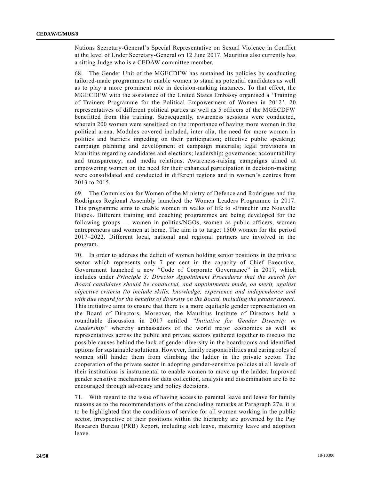Nations Secretary-General's Special Representative on Sexual Violence in Conflict at the level of Under Secretary-General on 12 June 2017. Mauritius also currently has a sitting Judge who is a CEDAW committee member.

68. The Gender Unit of the MGECDFW has sustained its policies by conducting tailored-made programmes to enable women to stand as potential candidates as well as to play a more prominent role in decision-making instances. To that effect, the MGECDFW with the assistance of the United States Embassy organised a 'Training of Trainers Programme for the Political Empowerment of Women in 2012 '. 20 representatives of different political parties as well as 5 officers of the MGECDFW benefitted from this training. Subsequently, awareness sessions were conducted, wherein 200 women were sensitised on the importance of having more women in the political arena. Modules covered included, inter alia, the need for more women in politics and barriers impeding on their participation; effective public speaking; campaign planning and development of campaign materials; legal provisions in Mauritius regarding candidates and elections; leadership; governance; accountability and transparency; and media relations. Awareness-raising campaigns aimed at empowering women on the need for their enhanced participation in decision-making were consolidated and conducted in different regions and in women's centres from 2013 to 2015.

69. The Commission for Women of the Ministry of Defence and Rodrigues and the Rodrigues Regional Assembly launched the Women Leaders Programme in 2017. This programme aims to enable women in walks of life to «Franchir une Nouvelle Etape». Different training and coaching programmes are being developed for the following groups — women in politics/NGOs, women as public officers, women entrepreneurs and women at home. The aim is to target 1500 women for the perio d 2017–2022. Different local, national and regional partners are involved in the program.

70. In order to address the deficit of women holding senior positions in the priva te sector which represents only 7 per cent in the capacity of Chief Executive, Government launched a new "Code of Corporate Governance" in 2017, which includes under *Principle 3: Director Appointment Procedures that the search for Board candidates should be conducted, and appointments made, on merit, against objective criteria (to include skills, knowledge, experience and independence and with due regard for the benefits of diversity on the Board, including the gender aspect.* This initiative aims to ensure that there is a more equitable gender representation on the Board of Directors. Moreover, the Mauritius Institute of Directors held a roundtable discussion in 2017 entitled *"Initiative for Gender Diversity in Leadership"* whereby ambassadors of the world major economies as well as representatives across the public and private sectors gathered together to discuss the possible causes behind the lack of gender diversity in the boardrooms and identified options for sustainable solutions. However, family responsibilities and caring roles of women still hinder them from climbing the ladder in the private sector. The cooperation of the private sector in adopting gender-sensitive policies at all levels of their institutions is instrumental to enable women to move up the ladder. Improved gender sensitive mechanisms for data collection, analysis and dissemination are to be encouraged through advocacy and policy decisions.

71. With regard to the issue of having access to parental leave and leave for family reasons as to the recommendations of the concluding remarks at Paragraph 27e, it is to be highlighted that the conditions of service for all women working in the public sector, irrespective of their positions within the hierarchy are governed by the Pay Research Bureau (PRB) Report, including sick leave, maternity leave and adoption leave.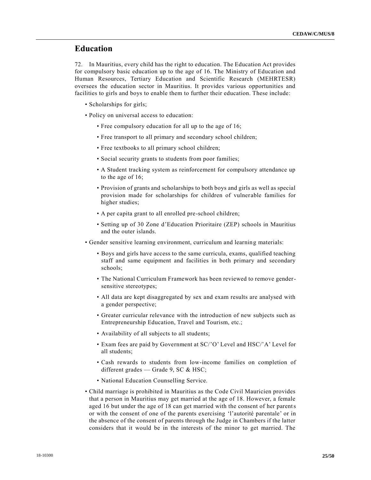# **Education**

72. In Mauritius, every child has the right to education. The Education Act provides for compulsory basic education up to the age of 16. The Ministry of Education and Human Resources, Tertiary Education and Scientific Research (MEHRTESR) oversees the education sector in Mauritius. It provides various opportunities and facilities to girls and boys to enable them to further their education. These include:

- Scholarships for girls;
- Policy on universal access to education:
	- Free compulsory education for all up to the age of 16;
	- Free transport to all primary and secondary school children;
	- Free textbooks to all primary school children;
	- Social security grants to students from poor families;
	- A Student tracking system as reinforcement for compulsory attendance up to the age of 16;
	- Provision of grants and scholarships to both boys and girls as well as special provision made for scholarships for children of vulnerable families for higher studies;
	- A per capita grant to all enrolled pre-school children;
	- Setting up of 30 Zone d'Education Prioritaire (ZEP) schools in Mauritius and the outer islands.
- Gender sensitive learning environment, curriculum and learning materials:
	- Boys and girls have access to the same curricula, exams, qualified teaching staff and same equipment and facilities in both primary and secondary schools;
	- The National Curriculum Framework has been reviewed to remove gendersensitive stereotypes;
	- All data are kept disaggregated by sex and exam results are analysed with a gender perspective;
	- Greater curricular relevance with the introduction of new subjects such as Entrepreneurship Education, Travel and Tourism, etc.;
	- Availability of all subjects to all students;
	- Exam fees are paid by Government at SC/'O' Level and HSC/'A' Level for all students;
	- Cash rewards to students from low-income families on completion of different grades - Grade 9, SC & HSC;
	- National Education Counselling Service.
- Child marriage is prohibited in Mauritius as the Code Civil Mauricien provides that a person in Mauritius may get married at the age of 18. However, a female aged 16 but under the age of 18 can get married with the consent of her parents or with the consent of one of the parents exercising 'l'autorité parentale' or in the absence of the consent of parents through the Judge in Chambers if the latter considers that it would be in the interests of the minor to get married. The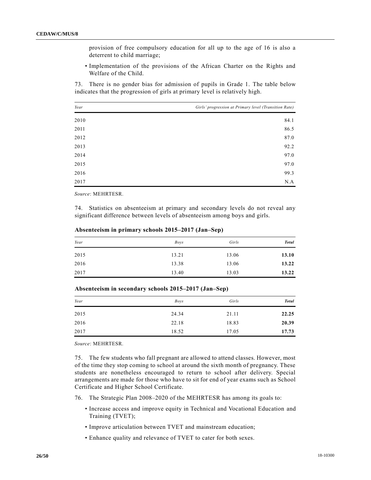provision of free compulsory education for all up to the age of 16 is also a deterrent to child marriage;

• Implementation of the provisions of the African Charter on the Rights and Welfare of the Child.

73. There is no gender bias for admission of pupils in Grade 1. The table below indicates that the progression of girls at primary level is relatively high.

| Year | Girls' progression at Primary level (Transition Rate) |
|------|-------------------------------------------------------|
| 2010 | 84.1                                                  |
| 2011 | 86.5                                                  |
| 2012 | 87.0                                                  |
| 2013 | 92.2                                                  |
| 2014 | 97.0                                                  |
| 2015 | 97.0                                                  |
| 2016 | 99.3                                                  |
| 2017 | N.A                                                   |

*Source*: MEHRTESR.

74. Statistics on absenteeism at primary and secondary levels do not reveal any significant difference between levels of absenteeism among boys and girls.

| Year | Boys  | Girls | <b>Total</b> |
|------|-------|-------|--------------|
| 2015 | 13.21 | 13.06 | 13.10        |
| 2016 | 13.38 | 13.06 | 13.22        |
| 2017 | 13.40 | 13.03 | 13.22        |

**Absenteeism in primary schools 2015–2017 (Jan–Sep)**

| Year | Boys  | Girls | <b>Total</b> |
|------|-------|-------|--------------|
| 2015 | 24.34 | 21.11 | 22.25        |
| 2016 | 22.18 | 18.83 | 20.39        |
| 2017 | 18.52 | 17.05 | 17.73        |

**Absenteeism in secondary schools 2015–2017 (Jan–Sep)**

*Source*: MEHRTESR.

75. The few students who fall pregnant are allowed to attend classes. However, most of the time they stop coming to school at around the sixth month of pregnancy. These students are nonetheless encouraged to return to school after delivery. Special arrangements are made for those who have to sit for end of year exams such as School Certificate and Higher School Certificate.

- 76. The Strategic Plan 2008–2020 of the MEHRTESR has among its goals to:
	- Increase access and improve equity in Technical and Vocational Education and Training (TVET);
	- Improve articulation between TVET and mainstream education;
	- Enhance quality and relevance of TVET to cater for both sexes.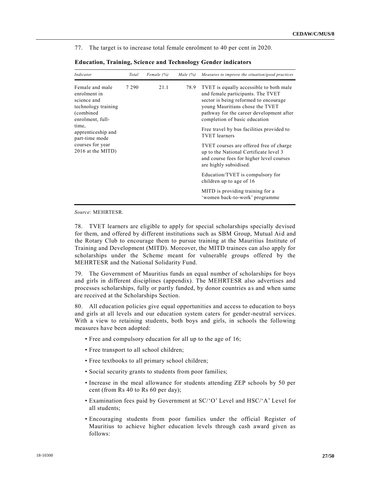77. The target is to increase total female enrolment to 40 per cent in 2020.

| Indicator                                                                                               | Total   | Female $(%)$ | Male $(%)$ | Measures to improve the situation/good practices                                                                                                                                                                                      |
|---------------------------------------------------------------------------------------------------------|---------|--------------|------------|---------------------------------------------------------------------------------------------------------------------------------------------------------------------------------------------------------------------------------------|
| Female and male<br>enrolment in<br>science and<br>technology training<br>(combined)<br>enrolment, full- | 7 2 9 0 | 21.1         | 78.9       | TVET is equally accessible to both male<br>and female participants. The TVET<br>sector is being reformed to encourage<br>young Mauritians chose the TVET<br>pathway for the career development after<br>completion of basic education |
| time,<br>apprenticeship and<br>part-time mode                                                           |         |              |            | Free travel by bus facilities provided to<br><b>TVET</b> learners                                                                                                                                                                     |
| courses for year<br>2016 at the MITD)                                                                   |         |              |            | TVET courses are offered free of charge<br>up to the National Certificate level 3<br>and course fees for higher level courses<br>are highly subsidised.                                                                               |
|                                                                                                         |         |              |            | Education/TVET is compulsory for<br>children up to age of 16                                                                                                                                                                          |
|                                                                                                         |         |              |            | MITD is providing training for a<br>'women back-to-work' programme                                                                                                                                                                    |

**Education, Training, Science and Technology Gender indicators**

*Source*: MEHRTESR.

78. TVET learners are eligible to apply for special scholarships specially devised for them, and offered by different institutions such as SBM Group, Mutual Aid and the Rotary Club to encourage them to pursue training at the Mauritius Institute of Training and Development (MITD). Moreover, the MITD trainees can also apply for scholarships under the Scheme meant for vulnerable groups offered by the MEHRTESR and the National Solidarity Fund.

79. The Government of Mauritius funds an equal number of scholarships for boys and girls in different disciplines (appendix). The MEHRTESR also advertises and processes scholarships, fully or partly funded, by donor countries a s and when same are received at the Scholarships Section.

80. All education policies give equal opportunities and access to education to boys and girls at all levels and our education system caters for gender-neutral services. With a view to retaining students, both boys and girls, in schools the following measures have been adopted:

- Free and compulsory education for all up to the age of 16;
- Free transport to all school children;
- Free textbooks to all primary school children;
- Social security grants to students from poor families;
- Increase in the meal allowance for students attending ZEP schools by 50 per cent (from Rs 40 to Rs 60 per day);
- Examination fees paid by Government at SC/'O' Level and HSC/'A' Level for all students;
- Encouraging students from poor families under the official Register of Mauritius to achieve higher education levels through cash award given as follows: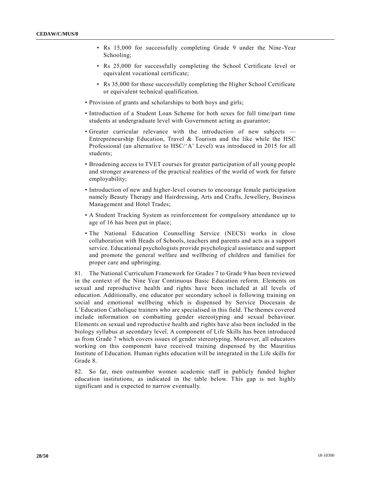- Rs 15,000 for successfully completing Grade 9 under the Nine-Year Schooling;
- Rs 25,000 for successfully completing the School Certificate level or equivalent vocational certificate;
- Rs 35,000 for those successfully completing the Higher School Certificate or equivalent technical qualification.
- Provision of grants and scholarships to both boys and girls;
- Introduction of a Student Loan Scheme for both sexes for full time/part time students at undergraduate level with Government acting as guarantor;
- Greater curricular relevance with the introduction of new subjects Entrepreneurship Education, Travel & Tourism and the like while the HSC Professional (an alternative to HSC/'A' Level) was introduced in 2015 for all students;
- Broadening access to TVET courses for greater participation of all young people and stronger awareness of the practical realities of the world of work for future employability;
- Introduction of new and higher-level courses to encourage female participation namely Beauty Therapy and Hairdressing, Arts and Crafts, Jewellery, Business Management and Hotel Trades;
- A Student Tracking System as reinforcement for compulsory attendance up to age of 16 has been put in place;
- The National Education Counselling Service (NECS) works in close collaboration with Heads of Schools, teachers and parents and acts as a support service. Educational psychologists provide psychological assistance and support and promote the general welfare and wellbeing of children and families for proper care and upbringing.

81. The National Curriculum Framework for Grades 7 to Grade 9 has been reviewed in the context of the Nine Year Continuous Basic Education reform. Elements on sexual and reproductive health and rights have been included at all levels of education. Additionally, one educator per secondary school is following training on social and emotional wellbeing which is dispensed by Service Diocesain de L'Education Catholique trainers who are specialised in this field. The themes covered include information on combatting gender stereotyping and sexual behaviour. Elements on sexual and reproductive health and rights have also been included in the biology syllabus at secondary level. A component of Life Skills has been introduced as from Grade 7 which covers issues of gender stereotyping. Moreover, all educators working on this component have received training dispensed by the Mauritius Institute of Education. Human rights education will be integrated in the Life skills for Grade 8.

82. So far, men outnumber women academic staff in publicly funded higher education institutions, as indicated in the table below. This gap is not highly significant and is expected to narrow eventually.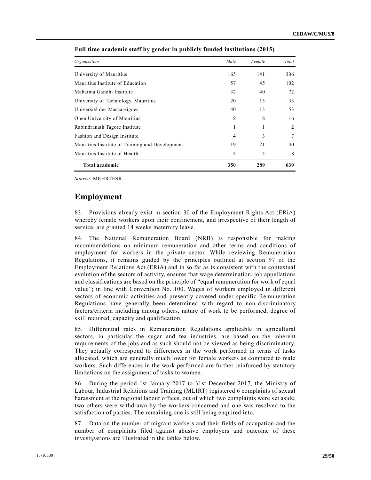| Organisation                                    | Male | Female         | Total |
|-------------------------------------------------|------|----------------|-------|
| University of Mauritius                         | 165  | 141            | 306   |
| Mauritius Institute of Education                | 57   | 45             | 102   |
| Mahatma Gandhi Institute                        | 32   | 40             | 72    |
| University of Technology, Mauritius             | 20   | 13             | 33    |
| Université des Mascareignes                     | 40   | 13             | 53    |
| Open University of Mauritius                    | 8    | 8              | 16    |
| Rabindranath Tagore Institute                   |      |                | 2     |
| Fashion and Design Institute                    | 4    | 3              | 7     |
| Mauritius Institute of Training and Development | 19   | 21             | 40    |
| Mauritius Institute of Health                   | 4    | $\overline{4}$ | 8     |
| Total academic                                  | 350  | 289            | 639   |

**Full time academic staff by gender in publicly funded institutions (2015)**

*Source*: MEHRTESR.

### **Employment**

83. Provisions already exist in section 30 of the Employment Rights Act (ERiA) whereby female workers upon their confinement, and irrespective of their length of service, are granted 14 weeks maternity leave.

84. The National Remuneration Board (NRB) is responsible for making recommendations on minimum remuneration and other terms and conditions of employment for workers in the private sector. While reviewing Remuneration Regulations, it remains guided by the principles outlined at section 97 of the Employment Relations Act (ERiA) and in so far as is consistent with the contextual evolution of the sectors of activity, ensures that wage determination, job appellations and classifications are based on the principle of "equal remuneration for work of equal value"; in line with Convention No. 100. Wages of workers employed in different sectors of economic activities and presently covered under specific Remuneration Regulations have generally been determined with regard to non-discriminatory factors/criteria including among others, nature of work to be performed, degree of skill required, capacity and qualification.

85. Differential rates in Remuneration Regulations applicable in agricultural sectors, in particular the sugar and tea industries, are based on the inherent requirements of the jobs and as such should not be viewed as being discriminatory. They actually correspond to differences in the work performed in terms of tasks allocated, which are generally much lower for female workers as compared to male workers. Such differences in the work performed are further reinforced by statutory limitations on the assignment of tasks to women.

86. During the period 1st January 2017 to 31st December 2017, the Ministry of Labour, Industrial Relations and Training (MLIRT) registered 6 complaints of sexual harassment at the regional labour offices, out of which two complaints were set aside; two others were withdrawn by the workers concerned and one was resolved to the satisfaction of parties. The remaining one is still being enquired into.

87. Data on the number of migrant workers and their fields of occupation and the number of complaints filed against abusive employers and outcome of these investigations are illustrated in the tables below.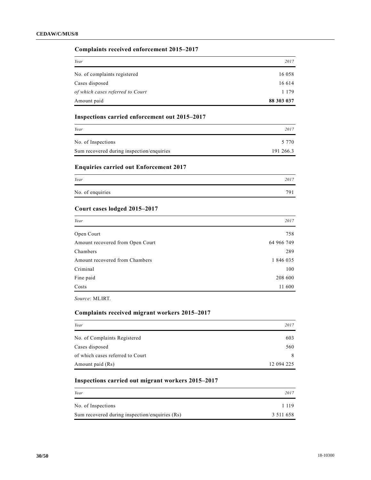#### **Complaints received enforcement 2015–2017**

| Year                             | 2017       |
|----------------------------------|------------|
| No. of complaints registered     | 16 058     |
| Cases disposed                   | 16 6 14    |
| of which cases referred to Court | 1 1 7 9    |
| Amount paid                      | 88 303 037 |

### **Inspections carried enforcement out 2015–2017**

| Year                                      | 2017      |
|-------------------------------------------|-----------|
| No. of Inspections                        | 5 7 7 0   |
| Sum recovered during inspection/enquiries | 191 266.3 |

### **Enquiries carried out Enforcement 2017**

| Year             | 2017 |
|------------------|------|
| No. of enquiries | 701  |

#### **Court cases lodged 2015–2017**

| Year                             | 2017       |
|----------------------------------|------------|
| Open Court                       | 758        |
| Amount recovered from Open Court | 64 966 749 |
| Chambers                         | 289        |
| Amount recovered from Chambers   | 1 846 035  |
| Criminal                         | 100        |
| Fine paid                        | 208 600    |
| Costs                            | 11 600     |

*Source*: MLIRT.

#### **Complaints received migrant workers 2015–2017**

| Year                             | 2017       |
|----------------------------------|------------|
| No. of Complaints Registered     | 603        |
| Cases disposed                   | 560        |
| of which cases referred to Court | 8          |
| Amount paid (Rs)                 | 12 094 225 |

### **Inspections carried out migrant workers 2015–2017**

| Year                                           | 2017          |
|------------------------------------------------|---------------|
| No. of Inspections                             | 1 1 1 9       |
| Sum recovered during inspection/enquiries (Rs) | 3 5 1 1 6 5 8 |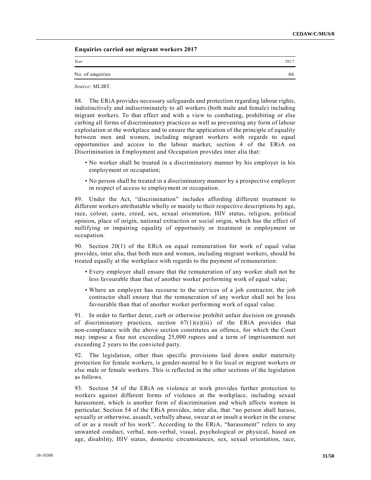**Enquiries carried out migrant workers 2017**

| Year             | 2017 |
|------------------|------|
| No. of enquiries | 66   |

*Source*: MLIRT.

88. The ERiA provides necessary safeguards and protection regarding labour rights, indistinctively and indiscriminately to all workers (both male and female) including migrant workers. To that effect and with a view to combating, prohibiting or else curbing all forms of discriminatory practices as well as preventing any form of labour exploitation at the workplace and to ensure the application of the principle of equality between men and women, including migrant workers with regards to equal opportunities and access to the labour market, section 4 of the ERiA on Discrimination in Employment and Occupation provides inter alia that:

- No worker shall be treated in a discriminatory manner by his employer in his employment or occupation;
- No person shall be treated in a discriminatory manner by a prospective employer in respect of access to employment or occupation.

89. Under the Act, "discrimination" includes affording different treatment to different workers attributable wholly or mainly to their respective descriptions by age, race, colour, caste, creed, sex, sexual orientation, HIV status, religion, political opinion, place of origin, national extraction or social origin, which has the effect of nullifying or impairing equality of opportunity or treatment in employment or occupation.

90. Section 20(1) of the ERiA on equal remuneration for work of equal value provides, inter alia, that both men and women, including migrant workers, should be treated equally at the workplace with regards to the payment of remuneration:

- Every employer shall ensure that the remuneration of any worker shall not be less favourable than that of another worker performing work of equal value;
- Where an employer has recourse to the services of a job contractor, the job contractor shall ensure that the remuneration of any worker shall not be less favourable than that of another worker performing work of equal value.

91. In order to further deter, curb or otherwise prohibit unfair decision on grounds of discriminatory practices, section  $67(1)(e)(iii)$  of the ERiA provides that non-compliance with the above section constitutes an offence, for which the Court may impose a fine not exceeding 25,000 rupees and a term of imprisonment not exceeding 2 years to the convicted party.

92. The legislation, other than specific provisions laid down under maternity protection for female workers, is gender-neutral be it for local or migrant workers or else male or female workers. This is reflected in the other sections of the legislation as follows.

93. Section 54 of the ERiA on violence at work provides further protection to workers against different forms of violence at the workplace, including sexual harassment, which is another form of discrimination and which affects women in particular. Section 54 of the ERiA provides, inter alia, that "no person shall harass, sexually or otherwise, assault, verbally abuse, swear at or insult a worker in the course of or as a result of his work". According to the ERiA, "harassment" refers to any unwanted conduct, verbal, non-verbal, visual, psychological or physical, based on age, disability, HIV status, domestic circumstances, sex, sexual orientation, race,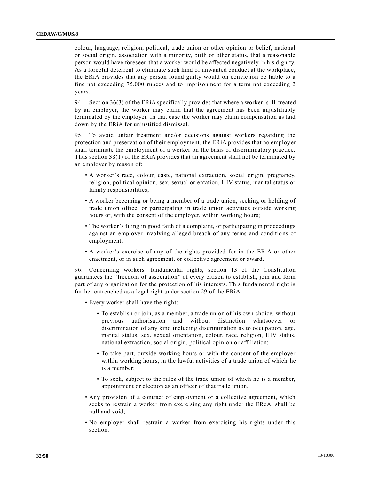colour, language, religion, political, trade union or other opinion or belief, national or social origin, association with a minority, birth or other status, that a reasonable person would have foreseen that a worker would be affected negatively in his dignity. As a forceful deterrent to eliminate such kind of unwanted conduct at the workplace, the ERiA provides that any person found guilty would on conviction be liable to a fine not exceeding 75,000 rupees and to imprisonment for a term not exceeding 2 years.

94. Section 36(3) of the ERiA specifically provides that where a worker is ill-treated by an employer, the worker may claim that the agreement has been unjustifiably terminated by the employer. In that case the worker may claim compensation as laid down by the ERiA for unjustified dismissal.

95. To avoid unfair treatment and/or decisions against workers regarding the protection and preservation of their employment, the ERiA provides that no employer shall terminate the employment of a worker on the basis of discriminatory practice. Thus section 38(1) of the ERiA provides that an agreement shall not be terminated by an employer by reason of:

- A worker's race, colour, caste, national extraction, social origin, pregnancy, religion, political opinion, sex, sexual orientation, HIV status, marital status or family responsibilities;
- A worker becoming or being a member of a trade union, seeking or holding of trade union office, or participating in trade union activities outside working hours or, with the consent of the employer, within working hours;
- The worker's filing in good faith of a complaint, or participating in proceedings against an employer involving alleged breach of any terms and conditions of employment;
- A worker's exercise of any of the rights provided for in the ERiA or other enactment, or in such agreement, or collective agreement or award.

96. Concerning workers' fundamental rights, section 13 of the Constitution guarantees the "freedom of association" of every citizen to establish, join and form part of any organization for the protection of his interests. This fundamental right is further entrenched as a legal right under section 29 of the ERiA.

- Every worker shall have the right:
	- To establish or join, as a member, a trade union of his own choice, without previous authorisation and without distinction whatsoever discrimination of any kind including discrimination as to occupation, age, marital status, sex, sexual orientation, colour, race, religion, HIV status, national extraction, social origin, political opinion or affiliation;
	- To take part, outside working hours or with the consent of the employer within working hours, in the lawful activities of a trade union of which he is a member;
	- To seek, subject to the rules of the trade union of which he is a member, appointment or election as an officer of that trade union.
- Any provision of a contract of employment or a collective agreement, which seeks to restrain a worker from exercising any right under the EReA, shall be null and void;
- No employer shall restrain a worker from exercising his rights under this section.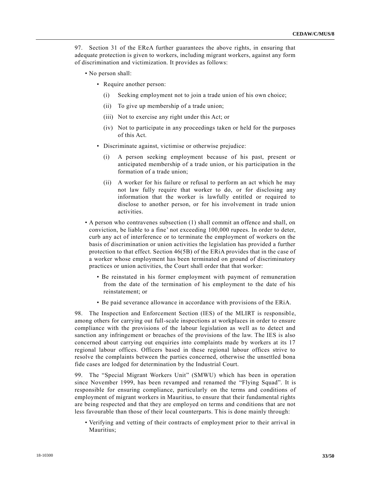97. Section 31 of the EReA further guarantees the above rights, in ensuring that adequate protection is given to workers, including migrant workers, against any form of discrimination and victimization. It provides as follows:

- No person shall:
	- Require another person:
		- (i) Seeking employment not to join a trade union of his own choice;
		- (ii) To give up membership of a trade union;
		- (iii) Not to exercise any right under this Act; or
		- (iv) Not to participate in any proceedings taken or held for the purposes of this Act.
	- Discriminate against, victimise or otherwise prejudice:
		- (i) A person seeking employment because of his past, present or anticipated membership of a trade union, or his participation in the formation of a trade union;
		- (ii) A worker for his failure or refusal to perform an act which he may not law fully require that worker to do, or for disclosing any information that the worker is lawfully entitled or required to disclose to another person, or for his involvement in trade union activities.
- A person who contravenes subsection (1) shall commit an offence and shall, on conviction, be liable to a fine' not exceeding 100,000 rupees. In order to deter, curb any act of interference or to terminate the employment of workers on the basis of discrimination or union activities the legislation has provided a further protection to that effect. Section 46(5B) of the ERiA provides that in the case of a worker whose employment has been terminated on ground of discriminatory practices or union activities, the Court shall order that that worker:
	- Be reinstated in his former employment with payment of remuneration from the date of the termination of his employment to the date of his reinstatement; or
	- Be paid severance allowance in accordance with provisions of the ERiA.

98. The Inspection and Enforcement Section (IES) of the MLIRT is responsible, among others for carrying out full-scale inspections at workplaces in order to ensure compliance with the provisions of the labour legislation as well as to detect and sanction any infringement or breaches of the provisions of the law. The IES is also concerned about carrying out enquiries into complaints made by workers at its 17 regional labour offices. Officers based in these regional labour offices strive to resolve the complaints between the parties concerned, otherwise the unsettled bona fide cases are lodged for determination by the Industrial Court.

99. The "Special Migrant Workers Unit" (SMWU) which has been in operation since November 1999, has been revamped and renamed the "Flying Squad". It is responsible for ensuring compliance, particularly on the terms and conditions of employment of migrant workers in Mauritius, to ensure that their fundamental rights are being respected and that they are employed on terms and conditions that are not less favourable than those of their local counterparts. This is done mainly through:

• Verifying and vetting of their contracts of employment prior to their arrival in Mauritius;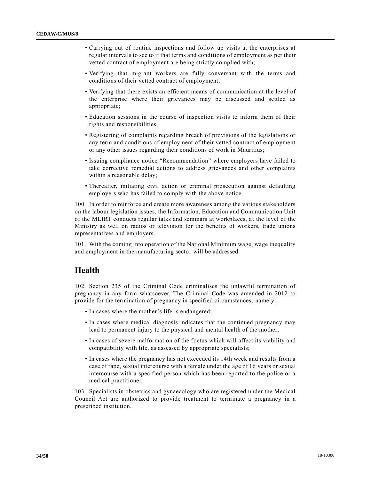- Carrying out of routine inspections and follow up visits at the enterprises at regular intervals to see to it that terms and conditions of employment as per their vetted contract of employment are being strictly complied with;
- Verifying that migrant workers are fully conversant with the terms and conditions of their vetted contract of employment;
- Verifying that there exists an efficient means of communication at the level of the enterprise where their grievances may be discussed and settled as appropriate;
- Education sessions in the course of inspection visits to inform them of their rights and responsibilities;
- Registering of complaints regarding breach of provisions of the legislations or any term and conditions of employment of their vetted contract of employment or any other issues regarding their conditions of work in Mauritius;
- Issuing compliance notice "Recommendation" where employers have failed to take corrective remedial actions to address grievances and other complaints within a reasonable delay;
- Thereafter, initiating civil action or criminal prosecution against defaulting employers who has failed to comply with the above notice.

100. In order to reinforce and create more awareness among the various stakeholders on the labour legislation issues, the Information, Education and Communication Unit of the MLIRT conducts regular talks and seminars at workplaces, a t the level of the Ministry as well on radios or television for the benefits of workers, trade unions representatives and employers.

101. With the coming into operation of the National Minimum wage, wage inequality and employment in the manufacturing sector will be addressed.

# **Health**

102. Section 235 of the Criminal Code criminalises the unlawful termination of pregnancy in any form whatsoever. The Criminal Code was amended in 2012 to provide for the termination of pregnancy in specified circumstances, namely:

- In cases where the mother's life is endangered;
- In cases where medical diagnosis indicates that the continued pregnancy may lead to permanent injury to the physical and mental health of the mother;
- In cases of severe malformation of the foetus which will affect its viability and compatibility with life, as assessed by appropriate specialists;
- In cases where the pregnancy has not exceeded its 14th week and results from a case of rape, sexual intercourse with a female under the age of 16 years or sexual intercourse with a specified person which has been reported to the police or a medical practitioner.

103. Specialists in obstetrics and gynaecology who are registered under the Medical Council Act are authorized to provide treatment to terminate a pregnancy in a prescribed institution.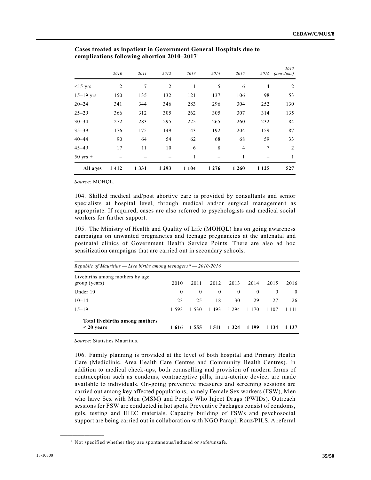|                    | 2010 | 2011    | 2012           | 2013    | 2014    | 2015           | 2016           | 2017<br>$(Jan-June)$ |
|--------------------|------|---------|----------------|---------|---------|----------------|----------------|----------------------|
| $<15$ yrs          | 2    | 7       | $\overline{2}$ | 1       | 5       | 6              | $\overline{4}$ | 2                    |
| $15 - 19$ yrs      | 150  | 135     | 132            | 121     | 137     | 106            | 98             | 53                   |
| $20 - 24$          | 341  | 344     | 346            | 283     | 296     | 304            | 252            | 130                  |
| $25 - 29$          | 366  | 312     | 305            | 262     | 305     | 307            | 314            | 135                  |
| $30 - 34$          | 272  | 283     | 295            | 225     | 265     | 260            | 232            | 84                   |
| $35 - 39$          | 176  | 175     | 149            | 143     | 192     | 204            | 159            | 87                   |
| $40 - 44$          | 90   | 64      | 54             | 62      | 68      | 68             | 59             | 33                   |
| $45 - 49$          | 17   | 11      | 10             | 6       | 8       | $\overline{4}$ | $\tau$         | 2                    |
| $50 \text{ yrs}$ + |      |         |                | 1       |         | 1              |                | 1                    |
| All ages           | 1412 | 1 3 3 1 | 1 2 9 3        | 1 1 0 4 | 1 2 7 6 | 1 2 6 0        | 1 1 2 5        | 527                  |

**Cases treated as inpatient in Government General Hospitals due to complications following abortion 2010–2017**<sup>1</sup>

*Source*: MOHQL.

104. Skilled medical aid/post abortive care is provided by consultants and senior specialists at hospital level, through medical and/or surgical management as appropriate. If required, cases are also referred to psychologists and medical social workers for further support.

105. The Ministry of Health and Quality of Life (MOHQL) has on going awareness campaigns on unwanted pregnancies and teenage pregnancies at the antenatal and postnatal clinics of Government Health Service Points. There are also ad hoc sensitization campaigns that are carried out in secondary schools.

| Republic of Mauritius — Live births among teenagers $* - 2010 - 2016$ |          |          |                  |          |          |          |          |
|-----------------------------------------------------------------------|----------|----------|------------------|----------|----------|----------|----------|
| Livebirths among mothers by age<br>group (years)                      | 2010     | 2011     | 2012             | 2013     | 2014     | 2015     | 2016     |
| Under 10                                                              | $\bf{0}$ | $\theta$ | $\boldsymbol{0}$ | $\theta$ | $\left($ | $\theta$ | $\theta$ |
| $10 - 14$                                                             | 23       | 25       | 18               | 30       | 29       | 27       | 26       |
| $15 - 19$                                                             | 1.593    | 1 5 3 0  | 1493             | 1 2 9 4  | 1 1 7 0  | 1 1 0 7  | 1 1 1 1  |
| Total livebirths among mothers<br>$<$ 20 years                        | 1 616    | 1 5 5 5  | 1 5 1 1          | 1 3 2 4  | 1 199    | 1 1 3 4  | 1 1 3 7  |

*Source*: Statistics Mauritius.

106. Family planning is provided at the level of both hospital and Primary Health Care (Mediclinic, Area Health Care Centres and Community Health Centres). In addition to medical check-ups, both counselling and provision of modern forms of contraception such as condoms, contraceptive pills, intra-uterine device, are made available to individuals. On-going preventive measures and screening sessions are carried out among key affected populations, namely Female Sex workers (FSW), Men who have Sex with Men (MSM) and People Who Inject Drugs (PWIDs). Outreach sessions for FSW are conducted in hot spots. Preventive Packages consist of condoms, gels, testing and HIEC materials. Capacity building of FSWs and psychosocial support are being carried out in collaboration with NGO Parapli Rouz/PILS. A referral

**\_\_\_\_\_\_\_\_\_\_\_\_\_\_\_\_\_\_**

<sup>&</sup>lt;sup>1</sup> Not specified whether they are spontaneous/induced or safe/unsafe.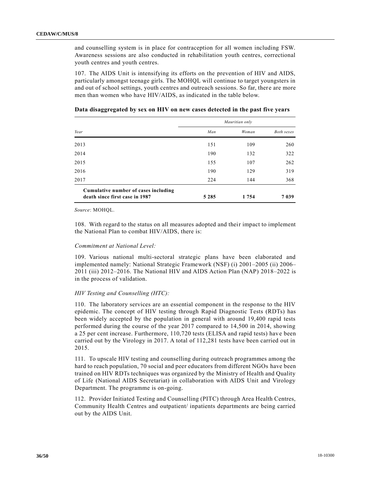and counselling system is in place for contraception for all women including FSW. Awareness sessions are also conducted in rehabilitation youth centres, correctional youth centres and youth centres.

107. The AIDS Unit is intensifying its efforts on the prevention of HIV and AIDS, particularly amongst teenage girls. The MOHQL will continue to target youngsters in and out of school settings, youth centres and outreach sessions. So far, there are more men than women who have HIV/AIDS, as indicated in the table below.

|                                                                        | Mauritian only |         |                   |  |
|------------------------------------------------------------------------|----------------|---------|-------------------|--|
| Year                                                                   | Man            | Woman   | <b>Both sexes</b> |  |
| 2013                                                                   | 151            | 109     | 260               |  |
| 2014                                                                   | 190            | 132     | 322               |  |
| 2015                                                                   | 155            | 107     | 262               |  |
| 2016                                                                   | 190            | 129     | 319               |  |
| 2017                                                                   | 224            | 144     | 368               |  |
| Cumulative number of cases including<br>death since first case in 1987 | 5 2 8 5        | 1 7 5 4 | 7 0 3 9           |  |

#### **Data disaggregated by sex on HIV on new cases detected in the past five years**

*Source*: MOHQL.

108. With regard to the status on all measures adopted and their impact to implement the National Plan to combat HIV/AIDS, there is:

#### *Commitment at National Level:*

109. Various national multi-sectoral strategic plans have been elaborated and implemented namely: National Strategic Framework (NSF) (i) 2001–2005 (ii) 2006– 2011 (iii) 2012–2016. The National HIV and AIDS Action Plan (NAP) 2018–2022 is in the process of validation.

#### *HIV Testing and Counselling (HTC):*

110. The laboratory services are an essential component in the response to the HIV epidemic. The concept of HIV testing through Rapid Diagnostic Tests (RDTs) has been widely accepted by the population in general with around 19,400 rapid tests performed during the course of the year 2017 compared to 14,500 in 2014, showing a 25 per cent increase. Furthermore, 110,720 tests (ELISA and rapid tests) have been carried out by the Virology in 2017. A total of 112,281 tests have been carried out in 2015.

111. To upscale HIV testing and counselling during outreach programmes among the hard to reach population, 70 social and peer educators from different NGOs have been trained on HIV RDTs techniques was organized by the Ministry of Health and Quality of Life (National AIDS Secretariat) in collaboration with AIDS Unit and Virology Department. The programme is on-going.

112. Provider Initiated Testing and Counselling (PITC) through Area Health Centres, Community Health Centres and outpatient/ inpatients departments are being carried out by the AIDS Unit.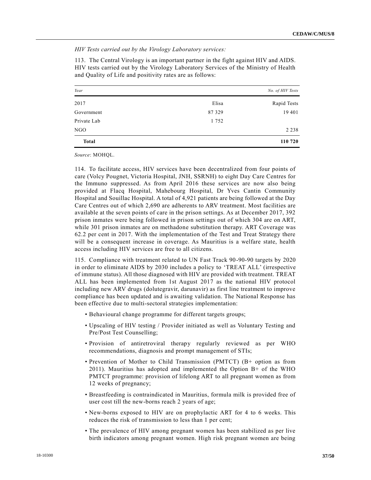*HIV Tests carried out by the Virology Laboratory services:*

113. The Central Virology is an important partner in the fight against HIV and AIDS. HIV tests carried out by the Virology Laboratory Services of the Ministry of Health and Quality of Life and positivity rates are as follows:

| Year         |        | No. of HIV Tests |
|--------------|--------|------------------|
| 2017         | Elisa  | Rapid Tests      |
| Government   | 87 329 | 19 401           |
| Private Lab  | 1752   |                  |
| <b>NGO</b>   |        | 2 2 3 8          |
| <b>Total</b> |        | 110 720          |

*Source*: MOHQL.

114. To facilitate access, HIV services have been decentralized from four points of care (Volcy Pougnet, Victoria Hospital, JNH, SSRNH) to eight Day Care Centres for the Immuno suppressed. As from April 2016 these services are now also being provided at Flacq Hospital, Mahebourg Hospital, Dr Yves Cantin Community Hospital and Souillac Hospital. A total of 4,921 patients are being followed at the Day Care Centres out of which 2,690 are adherents to ARV treatment. Most facilities are available at the seven points of care in the prison settings. As at December 2017, 392 prison inmates were being followed in prison settings out of which 304 are on ART, while 301 prison inmates are on methadone substitution therapy. ART Coverage was 62.2 per cent in 2017. With the implementation of the Test and Treat Strategy there will be a consequent increase in coverage. As Mauritius is a welfare state, health access including HIV services are free to all citizens.

115. Compliance with treatment related to UN Fast Track 90-90-90 targets by 2020 in order to eliminate AIDS by 2030 includes a policy to 'TREAT ALL' (irrespective of immune status). All those diagnosed with HIV are provided with treatment. TREAT ALL has been implemented from 1st August 2017 as the national HIV protocol including new ARV drugs (dolutegravir, darunavir) as first line treatment to improve compliance has been updated and is awaiting validation. The National Response has been effective due to multi-sectoral strategies implementation:

- Behavioural change programme for different targets groups;
- Upscaling of HIV testing / Provider initiated as well as Voluntary Testing and Pre/Post Test Counselling;
- Provision of antiretroviral therapy regularly reviewed as per WHO recommendations, diagnosis and prompt management of STIs;
- Prevention of Mother to Child Transmission (PMTCT) (B+ option as from 2011). Mauritius has adopted and implemented the Option B+ of the WHO PMTCT programme: provision of lifelong ART to all pregnant women as from 12 weeks of pregnancy;
- Breastfeeding is contraindicated in Mauritius, formula milk is provided free of user cost till the new-borns reach 2 years of age;
- New-borns exposed to HIV are on prophylactic ART for 4 to 6 weeks. This reduces the risk of transmission to less than 1 per cent;
- The prevalence of HIV among pregnant women has been stabilized as per live birth indicators among pregnant women. High risk pregnant women are being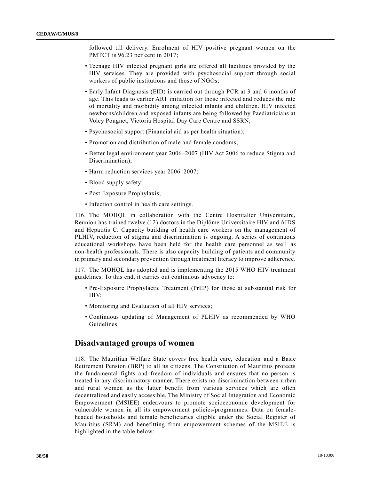followed till delivery. Enrolment of HIV positive pregnant women on the PMTCT is 96.23 per cent in 2017;

- Teenage HIV infected pregnant girls are offered all facilities provided by the HIV services. They are provided with psychosocial support through social workers of public institutions and those of NGOs;
- Early Infant Diagnosis (EID) is carried out through PCR at 3 and 6 months of age. This leads to earlier ART initiation for those infected and reduces the rate of mortality and morbidity among infected infants and children. HIV infected newborns/children and exposed infants are being followed by Paediatricians at Volcy Pougnet, Victoria Hospital Day Care Centre and SSRN;
- Psychosocial support (Financial aid as per health situation);
- Promotion and distribution of male and female condoms;
- Better legal environment year 2006–2007 (HIV Act 2006 to reduce Stigma and Discrimination);
- Harm reduction services year 2006–2007;
- Blood supply safety;
- Post Exposure Prophylaxis;
- Infection control in health care settings.

116. The MOHQL in collaboration with the Centre Hospitalier Universitaire, Reunion has trained twelve (12) doctors in the Diplôme Universitaire HIV and AIDS and Hepatitis C. Capacity building of health care workers on the management of PLHIV, reduction of stigma and discrimination is ongoing. A series of continuous educational workshops have been held for the health care personnel as well as non-health professionals. There is also capacity building of patients and community in primary and secondary prevention through treatment literacy to improve adherence.

117. The MOHQL has adopted and is implementing the 2015 WHO HIV treatment guidelines. To this end, it carries out continuous advocacy to:

- Pre-Exposure Prophylactic Treatment (PrEP) for those at substantial risk for HIV;
- Monitoring and Evaluation of all HIV services;
- Continuous updating of Management of PLHIV as recommended by WHO Guidelines.

### **Disadvantaged groups of women**

118. The Mauritian Welfare State covers free health care, education and a Basic Retirement Pension (BRP) to all its citizens. The Constitution of Mauritius protects the fundamental fights and freedom of individuals and ensures that no person is treated in any discriminatory manner. There exists no discrimination between urban and rural women as the latter benefit from various services which are often decentralized and easily accessible. The Ministry of Social Integration and Economic Empowerment (MSIEE) endeavours to promote socioeconomic development for vulnerable women in all its empowerment policies/programmes. Data on femaleheaded households and female beneficiaries eligible under the Social Register of Mauritius (SRM) and benefitting from empowerment schemes of the MSIEE is highlighted in the table below: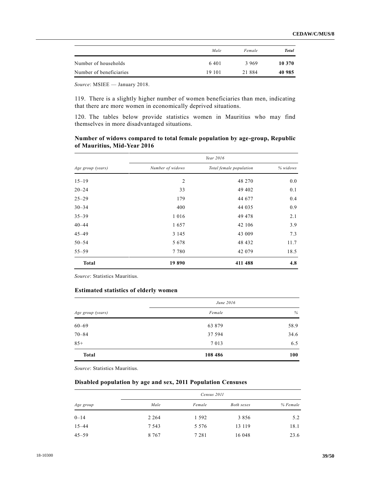|                         | Male    | Female   | <b>Total</b> |
|-------------------------|---------|----------|--------------|
| Number of households    | 6.401   | 3969     | 10 370       |
| Number of beneficiaries | 19 10 1 | 21 8 8 4 | 40 985       |

*Source*: MSIEE — January 2018.

119. There is a slightly higher number of women beneficiaries than men, indicating that there are more women in economically deprived situations.

120. The tables below provide statistics women in Mauritius who may find themselves in more disadvantaged situations.

#### **Number of widows compared to total female population by age-group, Republic of Mauritius, Mid-Year 2016**

|                   |                  | Year 2016               |          |
|-------------------|------------------|-------------------------|----------|
| Age group (years) | Number of widows | Total female population | % widows |
| $15 - 19$         | 2                | 48 270                  | 0.0      |
| $20 - 24$         | 33               | 49 402                  | 0.1      |
| $25 - 29$         | 179              | 44 677                  | 0.4      |
| $30 - 34$         | 400              | 44 035                  | 0.9      |
| $35 - 39$         | 1 0 1 6          | 49 478                  | 2.1      |
| $40 - 44$         | 1657             | 42 106                  | 3.9      |
| $45 - 49$         | 3 1 4 5          | 43 009                  | 7.3      |
| $50 - 54$         | 5 6 7 8          | 48 432                  | 11.7     |
| $55 - 59$         | 7780             | 42 079                  | 18.5     |
| <b>Total</b>      | 19890            | 411 488                 | 4.8      |

*Source*: Statistics Mauritius.

#### **Estimated statistics of elderly women**

|                   | June 2016 |      |  |
|-------------------|-----------|------|--|
| Age group (years) | Female    | $\%$ |  |
| $60 - 69$         | 63 879    | 58.9 |  |
| $70 - 84$         | 37 594    | 34.6 |  |
| $85+$             | 7 0 1 3   | 6.5  |  |
| <b>Total</b>      | 108 486   | 100  |  |

*Source*: Statistics Mauritius.

#### **Disabled population by age and sex, 2011 Population Censuses**

| Age group | Census 2011 |         |            |          |
|-----------|-------------|---------|------------|----------|
|           | Male        | Female  | Both sexes | % Female |
| $0 - 14$  | 2 2 6 4     | 1 5 9 2 | 3 8 5 6    | 5.2      |
| $15 - 44$ | 7 5 4 3     | 5 5 7 6 | 13 119     | 18.1     |
| $45 - 59$ | 8 7 6 7     | 7 2 8 1 | 16 048     | 23.6     |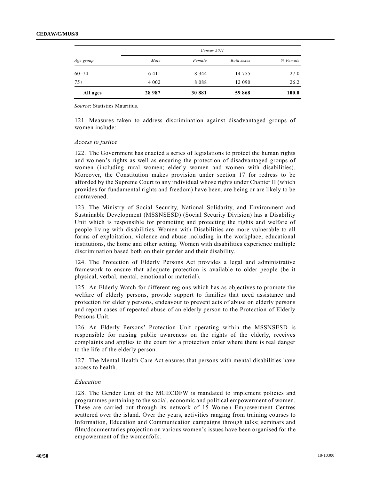| Age group | Census 2011 |         |            |          |
|-----------|-------------|---------|------------|----------|
|           | Male        | Female  | Both sexes | % Female |
| $60 - 74$ | 6411        | 8 3 4 4 | 14 755     | 27.0     |
| $75+$     | 4 0 0 2     | 8088    | 12 090     | 26.2     |
| All ages  | 28 9 87     | 30 881  | 59 868     | 100.0    |

*Source*: Statistics Mauritius.

121. Measures taken to address discrimination against disadvantaged groups of women include:

#### *Access to justice*

122. The Government has enacted a series of legislations to protect the human rights and women's rights as well as ensuring the protection of disadvantaged groups of women (including rural women; elderly women and women with disabilities). Moreover, the Constitution makes provision under section 17 for redress to be afforded by the Supreme Court to any individual whose rights under Chapter II (which provides for fundamental rights and freedom) have been, are being or are likely to be contravened.

123. The Ministry of Social Security, National Solidarity, and Environment and Sustainable Development (MSSNSESD) (Social Security Division) has a Disability Unit which is responsible for promoting and protecting the rights and welfare of people living with disabilities. Women with Disabilities are more vulnerable to all forms of exploitation, violence and abuse including in the workplace, educational institutions, the home and other setting. Women with disabilities experience multiple discrimination based both on their gender and their disability.

124. The Protection of Elderly Persons Act provides a legal and administrative framework to ensure that adequate protection is available to older people (be it physical, verbal, mental, emotional or material).

125. An Elderly Watch for different regions which has as objectives to promote the welfare of elderly persons, provide support to families that need assistance and protection for elderly persons, endeavour to prevent acts of abuse on elderly persons and report cases of repeated abuse of an elderly person to the Protection of Elderly Persons Unit.

126. An Elderly Persons' Protection Unit operating within the MSSNSESD is responsible for raising public awareness on the rights of the elderly, receives complaints and applies to the court for a protection order where there is real danger to the life of the elderly person.

127. The Mental Health Care Act ensures that persons with mental disabilities have access to health.

#### *Education*

128. The Gender Unit of the MGECDFW is mandated to implement policies and programmes pertaining to the social, economic and political empowerment of women. These are carried out through its network of 15 Women Empowerment Centres scattered over the island. Over the years, activities ranging from training courses to Information, Education and Communication campaigns through talks; seminars and film/documentaries projection on various women's issues have been organised for the empowerment of the womenfolk.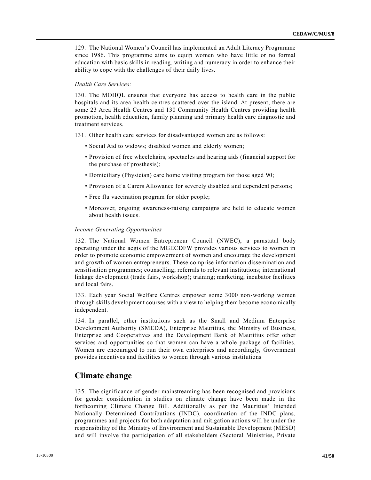129. The National Women's Council has implemented an Adult Literacy Programme since 1986. This programme aims to equip women who have little or no formal education with basic skills in reading, writing and numeracy in order to enhance their ability to cope with the challenges of their daily lives.

#### *Health Care Services:*

130. The MOHQL ensures that everyone has access to health care in the public hospitals and its area health centres scattered over the island. At present, there are some 23 Area Health Centres and 130 Community Health Centres providing health promotion, health education, family planning and primary health care diagnostic and treatment services.

131. Other health care services for disadvantaged women are as follows:

- Social Aid to widows; disabled women and elderly women;
- Provision of free wheelchairs, spectacles and hearing aids (financial support for the purchase of prosthesis);
- Domiciliary (Physician) care home visiting program for those aged 90;
- Provision of a Carers Allowance for severely disabled and dependent persons;
- Free flu vaccination program for older people;
- Moreover, ongoing awareness-raising campaigns are held to educate women about health issues.

#### *Income Generating Opportunities*

132. The National Women Entrepreneur Council (NWEC), a parastatal body operating under the aegis of the MGECDFW provides various services to women in order to promote economic empowerment of women and encourage the development and growth of women entrepreneurs. These comprise information dissemination and sensitisation programmes; counselling; referrals to relevant institutions; international linkage development (trade fairs, workshop); training; marketing; incubator facilities and local fairs.

133. Each year Social Welfare Centres empower some 3000 non-working women through skills development courses with a view to helping them become economically independent.

134. In parallel, other institutions such as the Small and Medium Enterprise Development Authority (SMEDA), Enterprise Mauritius, the Ministry of Business, Enterprise and Cooperatives and the Development Bank of Mauritius offer other services and opportunities so that women can have a whole package of facilities. Women are encouraged to run their own enterprises and accordingly, Government provides incentives and facilities to women through various institutions

### **Climate change**

135. The significance of gender mainstreaming has been recognised and provisions for gender consideration in studies on climate change have been made in the forthcoming Climate Change Bill. Additionally as per the Mauritius' Intended Nationally Determined Contributions (INDC), coordination of the INDC plans, programmes and projects for both adaptation and mitigation actions will be under the responsibility of the Ministry of Environment and Sustainable Development (MESD) and will involve the participation of all stakeholders (Sectoral Ministries, Private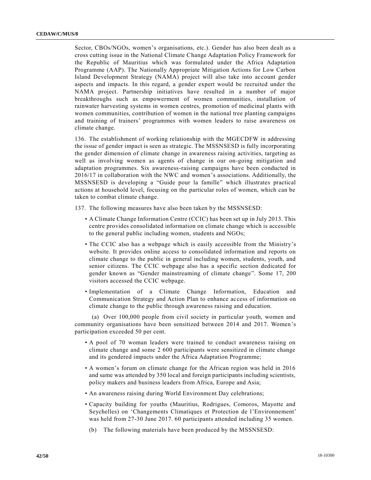Sector, CBOs/NGOs, women's organisations, etc.). Gender has also been dealt as a cross cutting issue in the National Climate Change Adaptation Policy Framework for the Republic of Mauritius which was formulated under the Africa Adaptation Programme (AAP). The Nationally Appropriate Mitigation Actions for Low Carbon Island Development Strategy (NAMA) project will also take into account gender aspects and impacts. In this regard, a gender expert would be recruited under the NAMA project. Partnership initiatives have resulted in a number of major breakthroughs such as empowerment of women communities, installation of rainwater harvesting systems in women centres, promotion of medicinal plants with women communities, contribution of women in the national tree planting campaigns and training of trainers' programmes with women leaders to raise awareness on climate change.

136. The establishment of working relationship with the MGECDFW in addressing the issue of gender impact is seen as strategic. The MSSNSESD is fully incorporating the gender dimension of climate change in awareness raising activities, targeting as well as involving women as agents of change in our on-going mitigation and adaptation programmes. Six awareness-raising campaigns have been conducted in 2016/17 in collaboration with the NWC and women's associations. Additionally, the MSSNSESD is developing a "Guide pour la famille" which illustrates practical actions at household level, focusing on the particular roles of women, which can be taken to combat climate change.

137. The following measures have also been taken by the MSSNSESD:

- A Climate Change Information Centre (CCIC) has been set up in July 2013. This centre provides consolidated information on climate change which is accessible to the general public including women, students and NGOs;
- The CCIC also has a webpage which is easily accessible from the Ministry's website. It provides online access to consolidated information and reports on climate change to the public in general including women, students, youth, and senior citizens. The CCIC webpage also has a specific section dedicated for gender known as "Gender mainstreaming of climate change". Some 17, 200 visitors accessed the CCIC webpage.
- Implementation of a Climate Change Information, Education and Communication Strategy and Action Plan to enhance access of information on climate change to the public through awareness raising and education.

(a) Over 100,000 people from civil society in particular youth, women and community organisations have been sensitized between 2014 and 2017. Women's participation exceeded 50 per cent.

- A pool of 70 woman leaders were trained to conduct awareness raising on climate change and some 2 600 participants were sensitized in climate change and its gendered impacts under the Africa Adaptation Programme;
- A women's forum on climate change for the African region was held in 2016 and same was attended by 350 local and foreign participants including scientists, policy makers and business leaders from Africa, Europe and Asia;
- An awareness raising during World Environment Day celebrations;
- Capacity building for youths (Mauritius, Rodrigues, Comoros, Mayotte and Seychelles) on 'Changements Climatiques et Protection de l'Environnement' was held from 27-30 June 2017. 60 participants attended including 35 women.
	- (b) The following materials have been produced by the MSSNSESD: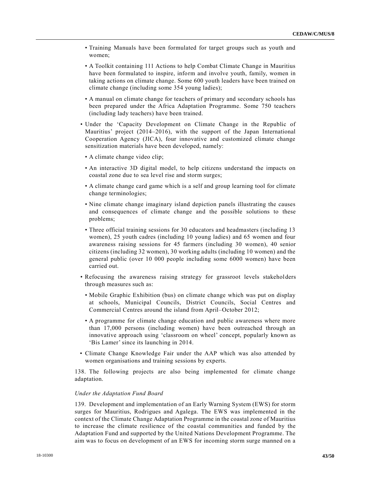- Training Manuals have been formulated for target groups such as youth and women;
- A Toolkit containing 111 Actions to help Combat Climate Change in Mauritius have been formulated to inspire, inform and involve youth, family, women in taking actions on climate change. Some 600 youth leaders have been trained on climate change (including some 354 young ladies);
- A manual on climate change for teachers of primary and secondary schools has been prepared under the Africa Adaptation Programme. Some 750 teachers (including lady teachers) have been trained.
- Under the 'Capacity Development on Climate Change in the Republic of Mauritius' project (2014–2016), with the support of the Japan International Cooperation Agency (JICA), four innovative and customized climate change sensitization materials have been developed, namely:
- A climate change video clip;
- An interactive 3D digital model, to help citizens understand the impacts on coastal zone due to sea level rise and storm surges;
- A climate change card game which is a self and group learning tool for climate change terminologies;
- Nine climate change imaginary island depiction panels illustrating the causes and consequences of climate change and the possible solutions to these problems;
- Three official training sessions for 30 educators and headmasters (including 13 women), 25 youth cadres (including 10 young ladies) and 65 women and four awareness raising sessions for 45 farmers (including 30 women), 40 senior citizens (including 32 women), 30 working adults (including 10 women) and the general public (over 10 000 people including some 6000 women) have been carried out.
- Refocusing the awareness raising strategy for grassroot levels stakeholders through measures such as:
	- Mobile Graphic Exhibition (bus) on climate change which was put on display at schools, Municipal Councils, District Councils, Social Centres and Commercial Centres around the island from April–October 2012;
	- A programme for climate change education and public awareness where more than 17,000 persons (including women) have been outreached through an innovative approach using 'classroom on wheel' concept, popularly known as 'Bis Lamer' since its launching in 2014.
- Climate Change Knowledge Fair under the AAP which was also attended by women organisations and training sessions by experts.

138. The following projects are also being implemented for climate change adaptation.

#### *Under the Adaptation Fund Board*

139. Development and implementation of an Early Warning System (EWS) for storm surges for Mauritius, Rodrigues and Agalega. The EWS was implemented in the context of the Climate Change Adaptation Programme in the coastal zone of Mauritius to increase the climate resilience of the coastal communities and funded by the Adaptation Fund and supported by the United Nations Development Programme. The aim was to focus on development of an EWS for incoming storm surge manned on a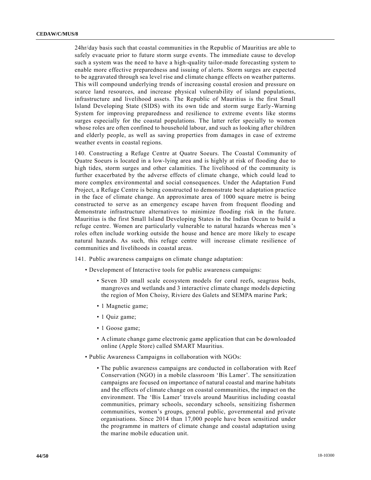24hr/day basis such that coastal communities in the Republic of Mauritius are able to safely evacuate prior to future storm surge events. The immediate cause to develop such a system was the need to have a high-quality tailor-made forecasting system to enable more effective preparedness and issuing of alerts. Storm surges are expected to be aggravated through sea level rise and climate change effects on weather patterns. This will compound underlying trends of increasing coastal erosion and pressure on scarce land resources, and increase physical vulnerability of island populations, infrastructure and livelihood assets. The Republic of Mauritius is the first Small Island Developing State (SIDS) with its own tide and storm surge Early-Warning System for improving preparedness and resilience to extreme events like storms surges especially for the coastal populations. The latter refer specially to women whose roles are often confined to household labour, and such as looking after children and elderly people, as well as saving properties from damages in case of extreme weather events in coastal regions.

140. Constructing a Refuge Centre at Quatre Soeurs. The Coastal Community of Quatre Soeurs is located in a low-lying area and is highly at risk of flooding due to high tides, storm surges and other calamities. The livelihood of the community is further exacerbated by the adverse effects of climate change, which could lead to more complex environmental and social consequences. Under the Adaptation Fund Project, a Refuge Centre is being constructed to demonstrate best adaptation practice in the face of climate change. An approximate area of 1000 square metre is being constructed to serve as an emergency escape haven from frequent flooding and demonstrate infrastructure alternatives to minimize flooding risk in the future. Mauritius is the first Small Island Developing States in the Indian Ocean to build a refuge centre. Women are particularly vulnerable to natural hazards whereas men 's roles often include working outside the house and hence are more likely to escape natural hazards. As such, this refuge centre will increase climate resilience of communities and livelihoods in coastal areas.

- 141. Public awareness campaigns on climate change adaptation:
	- Development of Interactive tools for public awareness campaigns:
		- Seven 3D small scale ecosystem models for coral reefs, seagrass beds, mangroves and wetlands and 3 interactive climate change models depicting the region of Mon Choisy, Riviere des Galets and SEMPA marine Park;
		- 1 Magnetic game;
		- 1 Quiz game;
		- 1 Goose game;
		- A climate change game electronic game application that can be downloaded online (Apple Store) called SMART Mauritius.
	- Public Awareness Campaigns in collaboration with NGOs:
		- The public awareness campaigns are conducted in collaboration with Reef Conservation (NGO) in a mobile classroom 'Bis Lamer'. The sensitization campaigns are focused on importance of natural coastal and marine habitats and the effects of climate change on coastal communities, the impact on the environment. The 'Bis Lamer' travels around Mauritius including coastal communities, primary schools, secondary schools, sensitizing fishermen communities, women's groups, general public, governmental and private organisations. Since 2014 than 17,000 people have been sensitized under the programme in matters of climate change and coastal adaptation using the marine mobile education unit.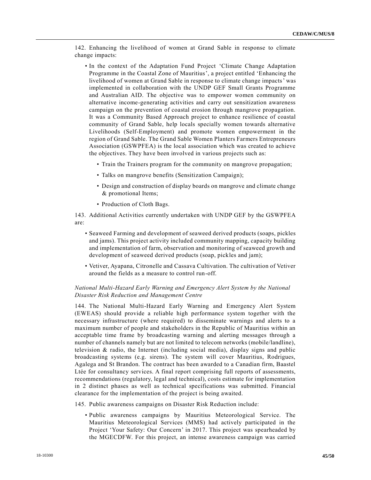142. Enhancing the livelihood of women at Grand Sable in response to climate change impacts:

- In the context of the Adaptation Fund Project 'Climate Change Adaptation Programme in the Coastal Zone of Mauritius', a project entitled 'Enhancing the livelihood of women at Grand Sable in response to climate change impacts' was implemented in collaboration with the UNDP GEF Small Grants Programme and Australian AID. The objective was to empower women community on alternative income-generating activities and carry out sensitization awareness campaign on the prevention of coastal erosion through mangrove propagation. It was a Community Based Approach project to enhance resilience of coastal community of Grand Sable, help locals specially women towards alternative Livelihoods (Self-Employment) and promote women empowerment in the region of Grand Sable. The Grand Sable Women Planters Farmers Entrepreneurs Association (GSWPFEA) is the local association which was created to achieve the objectives. They have been involved in various projects such as:
	- Train the Trainers program for the community on mangrove propagation;
	- Talks on mangrove benefits (Sensitization Campaign);
	- Design and construction of display boards on mangrove and climate change & promotional Items;
	- Production of Cloth Bags.

143. Additional Activities currently undertaken with UNDP GEF by the GSWPFEA are:

- Seaweed Farming and development of seaweed derived products (soaps, pickles and jams). This project activity included community mapping, capacity building and implementation of farm, observation and monitoring of seaweed growth and development of seaweed derived products (soap, pickles and jam);
- Vetiver, Ayapana, Citronelle and Cassava Cultivation. The cultivation of Vetiver around the fields as a measure to control run-off.

#### *National Multi-Hazard Early Warning and Emergency Alert System by the National Disaster Risk Reduction and Management Centre*

144. The National Multi-Hazard Early Warning and Emergency Alert System (EWEAS) should provide a reliable high performance system together with the necessary infrastructure (where required) to disseminate warnings and alerts to a maximum number of people and stakeholders in the Republic of Mauritius within an acceptable time frame by broadcasting warning and alerting messages through a number of channels namely but are not limited to telecom networks (mobile/landline), television  $\&$  radio, the Internet (including social media), display signs and public broadcasting systems (e.g. sirens). The system will cover Mauritius, Rodrigues, Agalega and St Brandon. The contract has been awarded to a Canadian firm, Baastel Ltée for consultancy services. A final report comprising full reports of assessments, recommendations (regulatory, legal and technical), costs estimate for implementation in 2 distinct phases as well as technical specifications was submitted. Financial clearance for the implementation of the project is being awaited.

#### 145. Public awareness campaigns on Disaster Risk Reduction include:

• Public awareness campaigns by Mauritius Meteorological Service. The Mauritius Meteorological Services (MMS) had actively participated in the Project 'Your Safety: Our Concern' in 2017. This project was spearheaded by the MGECDFW. For this project, an intense awareness campaign was carried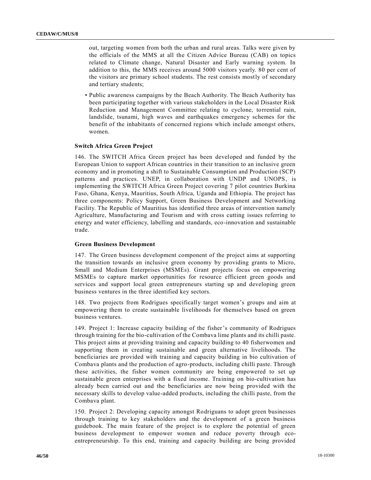out, targeting women from both the urban and rural areas. Talks were given by the officials of the MMS at all the Citizen Advice Bureau (CAB) on topics related to Climate change, Natural Disaster and Early warning system. In addition to this, the MMS receives around 5000 visitors yearly. 80 per cent of the visitors are primary school students. The rest consists mostly of secondary and tertiary students;

• Public awareness campaigns by the Beach Authority. The Beach Authority has been participating together with various stakeholders in the Local Disaster Risk Reduction and Management Committee relating to cyclone, torrential rain, landslide, tsunami, high waves and earthquakes emergency schemes for the benefit of the inhabitants of concerned regions which include amongst others, women.

#### **Switch Africa Green Project**

146. The SWITCH Africa Green project has been developed and funded by the European Union to support African countries in their transition to an inclusive green economy and in promoting a shift to Sustainable Consumption and Production (SCP) patterns and practices. UNEP, in collaboration with UNDP and UNOPS, is implementing the SWITCH Africa Green Project covering 7 pilot countries Burkina Faso, Ghana, Kenya, Mauritius, South Africa, Uganda and Ethiopia. The project has three components: Policy Support, Green Business Development and Networking Facility. The Republic of Mauritius has identified three areas of intervention namely Agriculture, Manufacturing and Tourism and with cross cutting issues referring to energy and water efficiency, labelling and standards, eco-innovation and sustainable trade.

#### **Green Business Development**

147. The Green business development component of the project aims at supporting the transition towards an inclusive green economy by providing grants to Micro, Small and Medium Enterprises (MSMEs). Grant projects focus on empowering MSMEs to capture market opportunities for resource efficient green goods and services and support local green entrepreneurs starting up and developing green business ventures in the three identified key sectors.

148. Two projects from Rodrigues specifically target women's groups and aim at empowering them to create sustainable livelihoods for themselves based on green business ventures.

149. Project 1: Increase capacity building of the fisher's community of Rodrigues through training for the bio-cultivation of the Combava lime plants and its chilli paste. This project aims at providing training and capacity building to 40 fisherwomen and supporting them in creating sustainable and green alternative livelihoods. The beneficiaries are provided with training and capacity building in bio cultivation of Combava plants and the production of agro-products, including chilli paste. Through these activities, the fisher women community are being empowered to set up sustainable green enterprises with a fixed income. Training on bio-cultivation has already been carried out and the beneficiaries are now being provided with the necessary skills to develop value-added products, including the chilli paste, from the Combava plant.

150. Project 2: Developing capacity amongst Rodriguans to adopt green businesses through training to key stakeholders and the development of a green business guidebook. The main feature of the project is to explore the potential of green business development to empower women and reduce poverty through ecoentrepreneurship. To this end, training and capacity building are being provided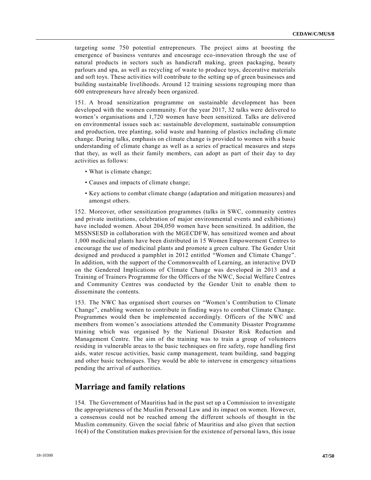targeting some 750 potential entrepreneurs. The project aims at boosting the emergence of business ventures and encourage eco-innovation through the use of natural products in sectors such as handicraft making, green packaging, beauty parlours and spa, as well as recycling of waste to produce toys, decorative materials and soft toys. These activities will contribute to the setting up of green businesses and building sustainable livelihoods. Around 12 training sessions regrouping more than 600 entrepreneurs have already been organized.

151. A broad sensitization programme on sustainable development has been developed with the women community. For the year 2017, 32 talks were delivered to women's organisations and 1,720 women have been sensitized. Talks are delivered on environmental issues such as: sustainable development, sustainable consumption and production, tree planting, solid waste and banning of plastics including climate change. During talks, emphasis on climate change is provided to women with a basic understanding of climate change as well as a series of practical measures and steps that they, as well as their family members, can adopt as part of their day to day activities as follows:

- What is climate change;
- Causes and impacts of climate change;
- Key actions to combat climate change (adaptation and mitigation measures) and amongst others.

152. Moreover, other sensitization programmes (talks in SWC, community centres and private institutions, celebration of major environmental events and exhibitions) have included women. About 204,050 women have been sensitized. In addition, the MSSNSESD in collaboration with the MGECDFW, has sensitized women and about 1,000 medicinal plants have been distributed in 15 Women Empowerment Centres to encourage the use of medicinal plants and promote a green culture. The Gender Unit designed and produced a pamphlet in 2012 entitled "Women and Climate Change". In addition, with the support of the Commonwealth of Learning, an interactive DVD on the Gendered Implications of Climate Change was developed in 2013 and a Training of Trainers Programme for the Officers of the NWC, Social Welfare Centres and Community Centres was conducted by the Gender Unit to enable them to disseminate the contents.

153. The NWC has organised short courses on "Women's Contribution to Climate Change", enabling women to contribute in finding ways to combat Climate Change. Programmes would then be implemented accordingly. Officers of the NWC and members from women's associations attended the Community Disaster Programme training which was organised by the National Disaster Risk Reduction and Management Centre. The aim of the training was to train a group of volunteers residing in vulnerable areas to the basic techniques on fire safety, rope handling first aids, water rescue activities, basic camp management, team building, sand bagging and other basic techniques. They would be able to intervene in emergency situa tions pending the arrival of authorities.

### **Marriage and family relations**

154. The Government of Mauritius had in the past set up a Commission to investigate the appropriateness of the Muslim Personal Law and its impact on women. However, a consensus could not be reached among the different schools of thought in the Muslim community. Given the social fabric of Mauritius and also given that section 16(4) of the Constitution makes provision for the existence of personal laws, this issue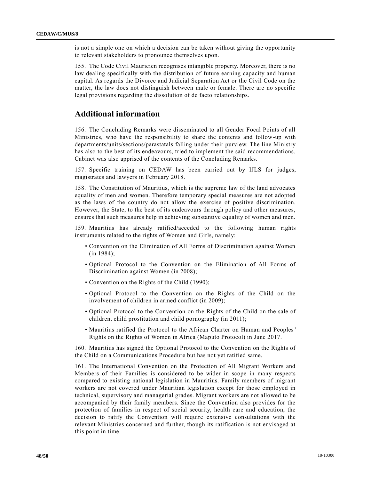is not a simple one on which a decision can be taken without giving the opportunity to relevant stakeholders to pronounce themselves upon.

155. The Code Civil Mauricien recognises intangible property. Moreover, there is no law dealing specifically with the distribution of future earning capacity and human capital. As regards the Divorce and Judicial Separation Act or the Civil Code on the matter, the law does not distinguish between male or female. There are no specific legal provisions regarding the dissolution of de facto relationships.

# **Additional information**

156. The Concluding Remarks were disseminated to all Gender Focal Points of all Ministries, who have the responsibility to share the contents and follow-up with departments/units/sections/parastatals falling under their purview. The line Ministry has also to the best of its endeavours, tried to implement the said recommendations. Cabinet was also apprised of the contents of the Concluding Remarks.

157. Specific training on CEDAW has been carried out by IJLS for judges, magistrates and lawyers in February 2018.

158. The Constitution of Mauritius, which is the supreme law of the land advocates equality of men and women. Therefore temporary special measures are not adopted as the laws of the country do not allow the exercise of positive discrimination. However, the State, to the best of its endeavours through policy and other measures, ensures that such measures help in achieving substantive equality of women and men.

159. Mauritius has already ratified/acceded to the following human rights instruments related to the rights of Women and Girls, namely:

- Convention on the Elimination of All Forms of Discrimination against Women (in 1984);
- Optional Protocol to the Convention on the Elimination of All Forms of Discrimination against Women (in 2008);
- Convention on the Rights of the Child (1990);
- Optional Protocol to the Convention on the Rights of the Child on the involvement of children in armed conflict (in 2009);
- Optional Protocol to the Convention on the Rights of the Child on the sale of children, child prostitution and child pornography (in 2011);
- Mauritius ratified the Protocol to the African Charter on Human and Peoples' Rights on the Rights of Women in Africa (Maputo Protocol) in June 2017.

160. Mauritius has signed the Optional Protocol to the Convention on the Rights of the Child on a Communications Procedure but has not yet ratified same.

161. The International Convention on the Protection of All Migrant Workers and Members of their Families is considered to be wider in scope in many respects compared to existing national legislation in Mauritius. Family members of migrant workers are not covered under Mauritian legislation except for those employed in technical, supervisory and managerial grades. Migrant workers are not allowed to be accompanied by their family members. Since the Convention also provides for the protection of families in respect of social security, health care and education, the decision to ratify the Convention will require extensive consultations with the relevant Ministries concerned and further, though its ratification is not envisaged at this point in time.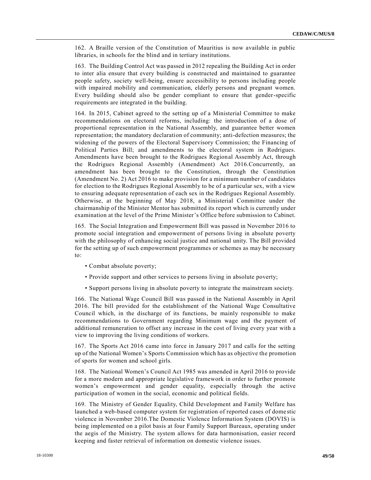162. A Braille version of the Constitution of Mauritius is now available in public libraries, in schools for the blind and in tertiary institutions.

163. The Building Control Act was passed in 2012 repealing the Building Act in order to inter alia ensure that every building is constructed and maintained to guarantee people safety, society well-being, ensure accessibility to persons including people with impaired mobility and communication, elderly persons and pregnant women. Every building should also be gender compliant to ensure that gender-specific requirements are integrated in the building.

164. In 2015, Cabinet agreed to the setting up of a Ministerial Committee to make recommendations on electoral reforms, including: the introduction of a dose of proportional representation in the National Assembly, and guarantee better women representation; the mandatory declaration of community; anti-defection measures; the widening of the powers of the Electoral Supervisory Commission; the Financing of Political Parties Bill; and amendments to the electoral system in Rodrigues. Amendments have been brought to the Rodrigues Regional Assembly Act, through the Rodrigues Regional Assembly (Amendment) Act 2016.Concurrently, an amendment has been brought to the Constitution, through the Constitution (Amendment No. 2) Act 2016 to make provision for a minimum number of candidates for election to the Rodrigues Regional Assembly to be of a particular sex, with a view to ensuring adequate representation of each sex in the Rodrigues Regional Assembly. Otherwise, at the beginning of May 2018, a Ministerial Committee under the chairmanship of the Minister Mentor has submitted its report which is currently under examination at the level of the Prime Minister's Office before submission to Cabinet.

165. The Social Integration and Empowerment Bill was passed in November 2016 to promote social integration and empowerment of persons living in absolute poverty with the philosophy of enhancing social justice and national unity. The Bill provided for the setting up of such empowerment programmes or schemes as may be necessary to:

- Combat absolute poverty;
- Provide support and other services to persons living in absolute poverty;
- Support persons living in absolute poverty to integrate the mainstream society.

166. The National Wage Council Bill was passed in the National Assembly in April 2016. The bill provided for the establishment of the National Wage Consultative Council which, in the discharge of its functions, be mainly responsible to make recommendations to Government regarding Minimum wage and the payment of additional remuneration to offset any increase in the cost of living every year with a view to improving the living conditions of workers.

167. The Sports Act 2016 came into force in January 2017 and calls for the setting up of the National Women's Sports Commission which has as objective the promotion of sports for women and school girls.

168. The National Women's Council Act 1985 was amended in April 2016 to provide for a more modern and appropriate legislative framework in order to further promote women's empowerment and gender equality, especially through the active participation of women in the social, economic and political fields.

169. The Ministry of Gender Equality, Child Development and Family Welfare has launched a web-based computer system for registration of reported cases of dome stic violence in November 2016.The Domestic Violence Information System (DOVIS) is being implemented on a pilot basis at four Family Support Bureaux, operating under the aegis of the Ministry. The system allows for data harmonisation, easier record keeping and faster retrieval of information on domestic violence issues.